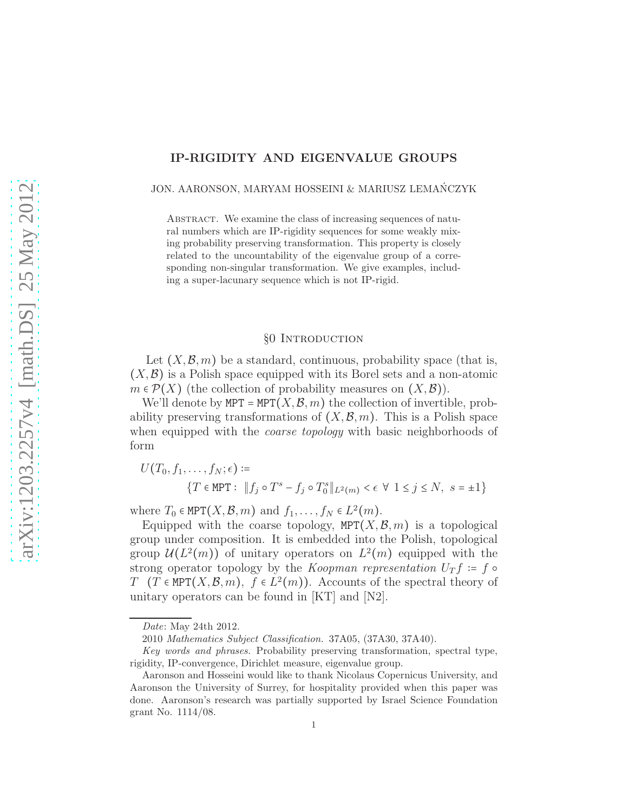# IP-RIGIDITY AND EIGENVALUE GROUPS

#### JON. AARONSON, MARYAM HOSSEINI & MARIUSZ LEMANCZYK ´

ABSTRACT. We examine the class of increasing sequences of natural numbers which are IP-rigidity sequences for some weakly mixing probability preserving transformation. This property is closely related to the uncountability of the eigenvalue group of a corresponding non-singular transformation. We give examples, including a super-lacunary sequence which is not IP-rigid.

## §0 Introduction

Let  $(X,\mathcal{B},m)$  be a standard, continuous, probability space (that is,  $(X,\mathcal{B})$  is a Polish space equipped with its Borel sets and a non-atomic  $m \in \mathcal{P}(X)$  (the collection of probability measures on  $(X,\mathcal{B})$ ).

We'll denote by MPT = MPT $(X, \mathcal{B}, m)$  the collection of invertible, probability preserving transformations of  $(X, \mathcal{B}, m)$ . This is a Polish space when equipped with the *coarse topology* with basic neighborhoods of form

$$
U(T_0, f_1, \dots, f_N; \epsilon) \coloneqq
$$
  

$$
\{T \in \text{MPT} : ||f_j \circ T^s - f_j \circ T_0^s||_{L^2(m)} < \epsilon \ \forall \ 1 \le j \le N, \ s = \pm 1\}
$$

where  $T_0 \in \text{MPT}(X, \mathcal{B}, m)$  and  $f_1, \ldots, f_N \in L^2(m)$ .

Equipped with the coarse topology,  $MPT(X,\mathcal{B},m)$  is a topological group under composition. It is embedded into the Polish, topological group  $\mathcal{U}(L^2(m))$  of unitary operators on  $L^2(m)$  equipped with the strong operator topology by the Koopman representation  $U_T f = f \circ$  $T$  (T  $\in$  MPT $(X,\mathcal{B},m)$ ,  $f \in L^2(m)$ ). Accounts of the spectral theory of unitary operators can be found in [KT] and [N2].

Date: May 24th 2012.

<sup>2010</sup> Mathematics Subject Classification. 37A05, (37A30, 37A40).

Key words and phrases. Probability preserving transformation, spectral type, rigidity, IP-convergence, Dirichlet measure, eigenvalue group.

Aaronson and Hosseini would like to thank Nicolaus Copernicus University, and Aaronson the University of Surrey, for hospitality provided when this paper was done. Aaronson's research was partially supported by Israel Science Foundation grant No. 1114/08.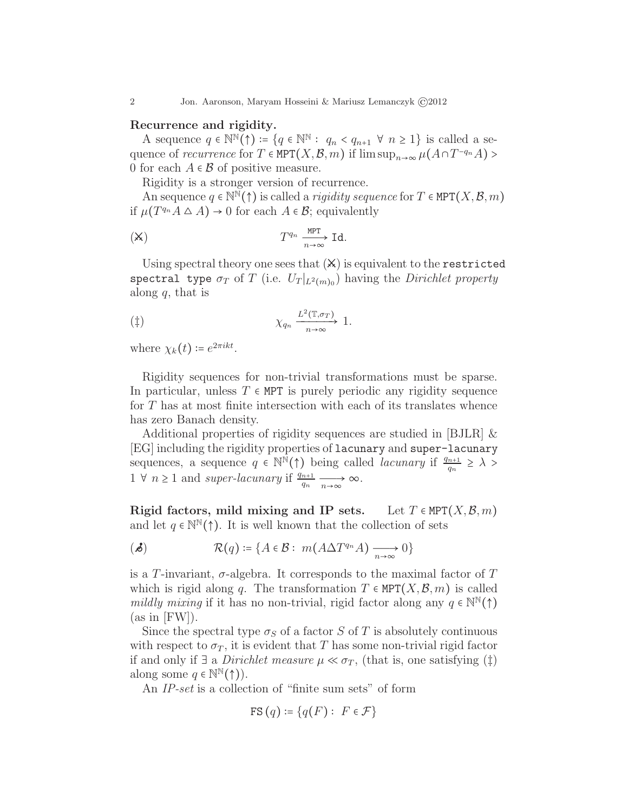### Recurrence and rigidity.

A sequence  $q \in \mathbb{N}^{\mathbb{N}}(\uparrow) := \{q \in \mathbb{N}^{\mathbb{N}} : q_n < q_{n+1} \ \forall \ n \geq 1\}$  is called a sequence of *recurrence* for  $T \in \text{MPT}(X, \mathcal{B}, m)$  if  $\limsup_{n \to \infty} \mu(A \cap T^{-q_n}A)$ 0 for each  $A \in \mathcal{B}$  of positive measure.

Rigidity is a stronger version of recurrence.

An sequence  $q \in \mathbb{N}^{\mathbb{N}}(\uparrow)$  is called a *rigidity sequence* for  $T \in \text{MPT}(X,\mathcal{B},m)$ if  $\mu(T^{q_n}A \Delta A) \to 0$  for each  $A \in \mathcal{B}$ ; equivalently

$$
\text{(x)} \qquad \qquad T^{q_n} \xrightarrow[n \to \infty]{\text{MPT}} \text{Id}.
$$

Using spectral theory one sees that  $(X)$  is equivalent to the restricted spectral type  $\sigma_T$  of T (i.e.  $U_T|_{L^2(m)_0}$ ) having the *Dirichlet property* along  $q$ , that is

$$
(\ddagger) \qquad \chi_{q_n} \xrightarrow[n \to \infty]{L^2(\mathbb{T}, \sigma_T)} 1.
$$

where  $\chi_k(t) \coloneqq e^{2\pi i kt}$ .

Rigidity sequences for non-trivial transformations must be sparse. In particular, unless  $T \in MPT$  is purely periodic any rigidity sequence for  $T$  has at most finite intersection with each of its translates whence has zero Banach density.

Additional properties of rigidity sequences are studied in [BJLR] & [EG] including the rigidity properties of lacunary and super-lacunary sequences, a sequence  $q \in \mathbb{N}^{\mathbb{N}}(\uparrow)$  being called *lacunary* if  $\frac{q_{n+1}}{q_n} \geq \lambda$  $1 \forall n \geq 1$  and super-lacunary if  $\frac{q_{n+1}}{q_n} \xrightarrow[n \to \infty]{} \infty$ .

Rigid factors, mild mixing and IP sets. Let  $T \in \text{MPT}(X,\mathcal{B},m)$ and let  $q \in \mathbb{N}^{\mathbb{N}}(\uparrow)$ . It is well known that the collection of sets

( $\mathcal{A}$ )  $\mathcal{R}(q) \coloneqq \{ A \in \mathcal{B} : m(A \Delta T^{q_n} A) \xrightarrow[n \to \infty]{} 0 \}$ 

is a T-invariant,  $\sigma$ -algebra. It corresponds to the maximal factor of T which is rigid along q. The transformation  $T \in \text{MPT}(X,\mathcal{B},m)$  is called mildly mixing if it has no non-trivial, rigid factor along any  $q \in \mathbb{N}^{\mathbb{N}}(\uparrow)$  $(as in [FW]).$ 

Since the spectral type  $\sigma_S$  of a factor S of T is absolutely continuous with respect to  $\sigma_T$ , it is evident that T has some non-trivial rigid factor if and only if ∃ a *Dirichlet measure*  $\mu \ll \sigma_T$ , (that is, one satisfying (‡) along some  $q \in \mathbb{N}^{\mathbb{N}}(\uparrow)$ .

An IP-set is a collection of "finite sum sets" of form

$$
FS(q) \coloneqq \{q(F): F \in \mathcal{F}\}\
$$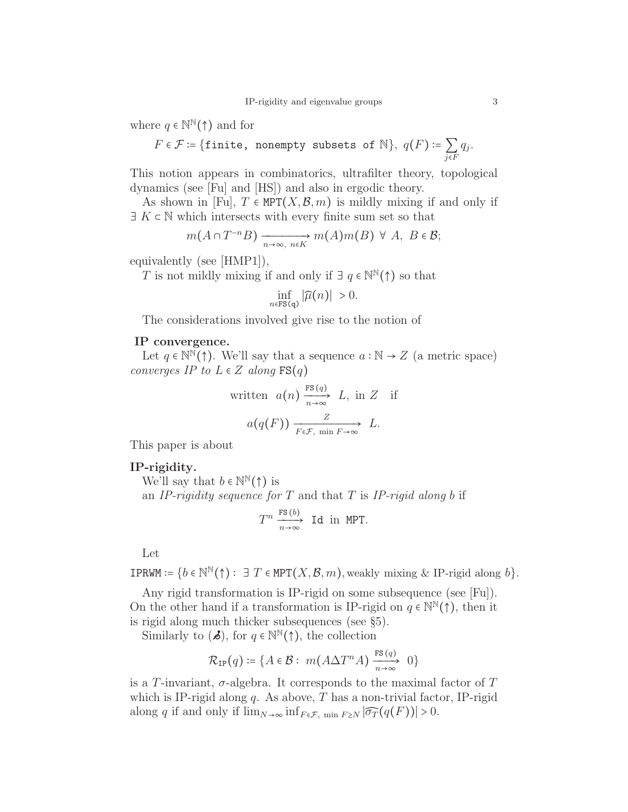where  $q \in \mathbb{N}^{\mathbb{N}}(\uparrow)$  and for

$$
F \in \mathcal{F} \coloneqq \{\mathtt{finite, nonempty subsets of } \mathbb{N}\}, \ q(F) \coloneqq \sum_{j \in F} q_j.
$$

This notion appears in combinatorics, ultrafilter theory, topological dynamics (see [Fu] and [HS]) and also in ergodic theory.

As shown in [Fu],  $T \in \text{MPT}(X,\mathcal{B},m)$  is mildly mixing if and only if  $\exists K \in \mathbb{N}$  which intersects with every finite sum set so that

$$
m(A \cap T^{-n}B) \xrightarrow[n \to \infty, n \in K]{} m(A)m(B) \ \forall \ A, \ B \in \mathcal{B};
$$

equivalently (see [HMP1]),

T is not mildly mixing if and only if  $\exists q \in \mathbb{N}^{\mathbb{N}}(\uparrow)$  so that

$$
\inf_{n \in \text{FS(q)}} |\widehat{\mu}(n)| > 0.
$$

The considerations involved give rise to the notion of

## IP convergence.

Let  $q \in \mathbb{N}^{\mathbb{N}}(\uparrow)$ . We'll say that a sequence  $a : \mathbb{N} \to Z$  (a metric space) converges IP to  $L \in \mathbb{Z}$  along  $FS(q)$ 

written 
$$
a(n) \xrightarrow[n \to \infty]{FS(q)} L
$$
, in Z if  

$$
a(q(F)) \xrightarrow[F \in \mathcal{F}, \min F \to \infty]{Z} L.
$$

This paper is about

### IP-rigidity.

We'll say that  $b \in \mathbb{N}^{\mathbb{N}}(\uparrow)$  is

an IP-rigidity sequence for  $T$  and that  $T$  is IP-rigid along b if

$$
T^n \xrightarrow[n \to \infty]{\text{FS (b)}} \text{Id in MPT}.
$$

Let

**IPRWM** :=  $\{b \in \mathbb{N}^{\mathbb{N}}(\uparrow) : \exists T \in \text{MPT}(X, \mathcal{B}, m), \text{weakly mixing } \& \text{ IP-rigid along } b\}.$ 

Any rigid transformation is IP-rigid on some subsequence (see [Fu]). On the other hand if a transformation is IP-rigid on  $q \in \mathbb{N}^{\mathbb{N}}(\uparrow)$ , then it is rigid along much thicker subsequences (see §5).

Similarly to  $(\mathbf{\mathcal{A}})$ , for  $q \in \mathbb{N}^{\mathbb{N}}(\uparrow)$ , the collection

$$
\mathcal{R}_{IP}(q) \coloneqq \{ A \in \mathcal{B} : \ m(A \Delta T^n A) \xrightarrow[n \to \infty]{\text{FS}(q)} 0 \}
$$

is a T-invariant,  $\sigma$ -algebra. It corresponds to the maximal factor of T which is IP-rigid along q. As above,  $T$  has a non-trivial factor, IP-rigid along q if and only if  $\lim_{N\to\infty} \inf_{F\in\mathcal{F}} \inf_{\pi\in\mathcal{F}} |\widehat{\sigma}_T(q(F))| > 0.$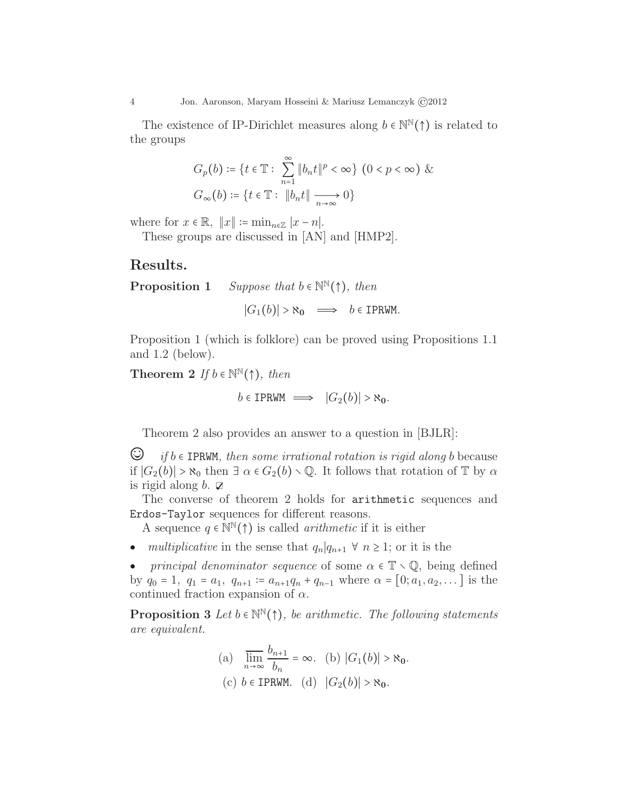The existence of IP-Dirichlet measures along  $b \in \mathbb{N}^{\mathbb{N}}(\uparrow)$  is related to the groups

$$
G_p(b) \coloneqq \{ t \in \mathbb{T} : \sum_{n=1}^{\infty} \|b_n t\|^p < \infty \} \ (0 < p < \infty) \ \& G_{\infty}(b) \coloneqq \{ t \in \mathbb{T} : \|b_n t\| \xrightarrow[n \to \infty]{} 0 \}
$$

where for  $x \in \mathbb{R}$ ,  $||x|| := \min_{n \in \mathbb{Z}} |x - n|$ .

These groups are discussed in [AN] and [HMP2].

## Results.

**Proposition 1** Suppose that  $b \in \mathbb{N}^{\mathbb{N}}(\uparrow)$ , then

 $|G_1(b)| > \aleph_0 \implies b \in \text{IPRWM}.$ 

Proposition 1 (which is folklore) can be proved using Propositions 1.1 and 1.2 (below).

Theorem 2 If  $b \in \mathbb{N}^{\mathbb{N}}(\uparrow)$ , then

 $b \in \text{IPRWM} \implies |G_2(b)| > \aleph_0.$ 

Theorem 2 also provides an answer to a question in [BJLR]:

 $\bigcirc$  if  $b \in \text{IPRWM}$ , then some irrational rotation is rigid along b because if  $|G_2(b)| > \aleph_0$  then  $\exists \alpha \in G_2(b) \setminus \mathbb{Q}$ . It follows that rotation of  $\mathbb{T}$  by  $\alpha$ is rigid along  $b$ .  $\mathbb{Z}$ 

The converse of theorem 2 holds for arithmetic sequences and Erdos-Taylor sequences for different reasons.

A sequence  $q \in \mathbb{N}^{\mathbb{N}}(\uparrow)$  is called *arithmetic* if it is either

- multiplicative in the sense that  $q_n|q_{n+1} \forall n \geq 1$ ; or it is the
- principal denominator sequence of some  $\alpha \in \mathbb{T} \setminus \mathbb{Q}$ , being defined by  $q_0 = 1$ ,  $q_1 = a_1$ ,  $q_{n+1} = a_{n+1}q_n + q_{n-1}$  where  $\alpha = [0; a_1, a_2, \dots]$  is the continued fraction expansion of  $\alpha$ .

**Proposition 3** Let  $b \in \mathbb{N}^{\mathbb{N}}(\uparrow)$ , be arithmetic. The following statements are equivalent.

(a) 
$$
\overline{\lim}_{n \to \infty} \frac{b_{n+1}}{b_n} = \infty.
$$
 (b)  $|G_1(b)| > \aleph_0$ .  
(c)  $b \in \text{IPRWM}$ . (d)  $|G_2(b)| > \aleph_0$ .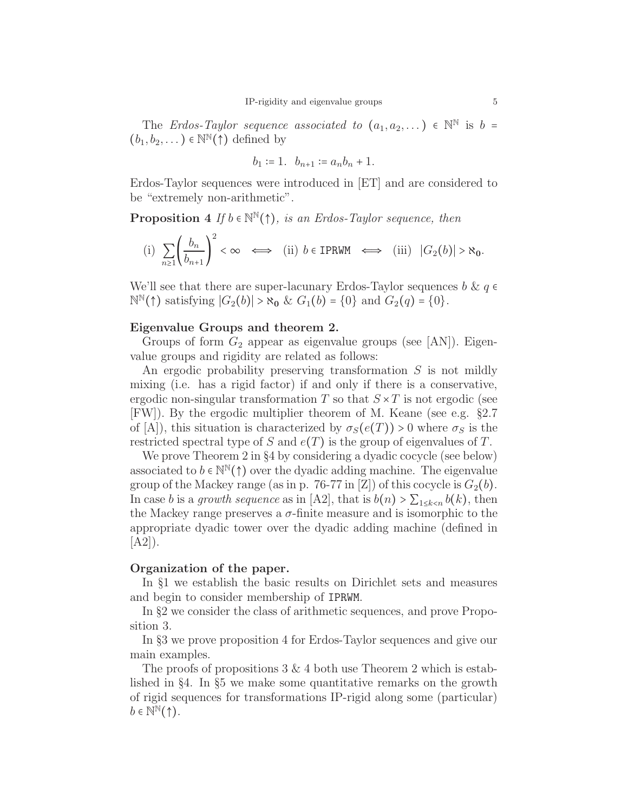The Erdos-Taylor sequence associated to  $(a_1, a_2, ...) \in \mathbb{N}^{\mathbb{N}}$  is  $b =$  $(b_1, b_2, \dots) \in \mathbb{N}^{\mathbb{N}}(\uparrow)$  defined by

$$
b_1 \coloneqq 1. \quad b_{n+1} \coloneqq a_n b_n + 1.
$$

Erdos-Taylor sequences were introduced in [ET] and are considered to be "extremely non-arithmetic".

**Proposition 4** If  $b \in \mathbb{N}^{\mathbb{N}}(\uparrow)$ , is an Erdos-Taylor sequence, then

(i) 
$$
\sum_{n\geq 1} \left(\frac{b_n}{b_{n+1}}\right)^2 < \infty \iff
$$
 (ii)  $b \in \text{IPRWM} \iff$  (iii)  $|G_2(b)| > \aleph_0$ .

We'll see that there are super-lacunary Erdos-Taylor sequences  $b \& q \in \mathbb{R}$  $\mathbb{N}^{\mathbb{N}}(\uparrow)$  satisfying  $|G_2(b)| > \aleph_0 \& G_1(b) = \{0\}$  and  $G_2(q) = \{0\}.$ 

## Eigenvalue Groups and theorem 2.

Groups of form  $G_2$  appear as eigenvalue groups (see [AN]). Eigenvalue groups and rigidity are related as follows:

An ergodic probability preserving transformation S is not mildly mixing (i.e. has a rigid factor) if and only if there is a conservative, ergodic non-singular transformation T so that  $S \times T$  is not ergodic (see [FW]). By the ergodic multiplier theorem of M. Keane (see e.g. §2.7 of [A]), this situation is characterized by  $\sigma_S(e(T)) > 0$  where  $\sigma_S$  is the restricted spectral type of S and  $e(T)$  is the group of eigenvalues of T.

We prove Theorem 2 in §4 by considering a dyadic cocycle (see below) associated to  $b \in \mathbb{N}^{\mathbb{N}}(\uparrow)$  over the dyadic adding machine. The eigenvalue group of the Mackey range (as in p. 76-77 in [Z]) of this cocycle is  $G_2(b)$ . In case b is a growth sequence as in [A2], that is  $b(n) > \sum_{1 \leq k < n} b(k)$ , then the Mackey range preserves a  $\sigma$ -finite measure and is isomorphic to the appropriate dyadic tower over the dyadic adding machine (defined in  $[A2]$ ).

### Organization of the paper.

In §1 we establish the basic results on Dirichlet sets and measures and begin to consider membership of IPRWM.

In §2 we consider the class of arithmetic sequences, and prove Proposition 3.

In §3 we prove proposition 4 for Erdos-Taylor sequences and give our main examples.

The proofs of propositions  $3 \& 4$  both use Theorem 2 which is established in §4. In §5 we make some quantitative remarks on the growth of rigid sequences for transformations IP-rigid along some (particular)  $b \in \mathbb{N}^{\mathbb{N}}(\uparrow).$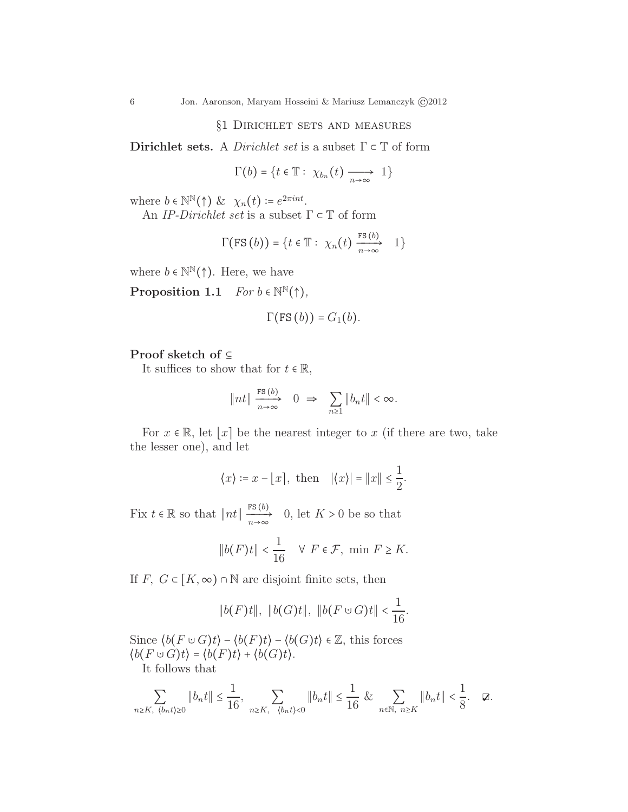## §1 Dirichlet sets and measures

Dirichlet sets. A *Dirichlet set* is a subset  $\Gamma \subset \mathbb{T}$  of form

$$
\Gamma(b) = \{t \in \mathbb{T} : \ \chi_{b_n}(t) \longrightarrow 1\}
$$

where  $b \in \mathbb{N}^{\mathbb{N}}(\uparrow)$  &  $\chi_n(t) \coloneqq e^{2\pi int}$ .

An *IP-Dirichlet set* is a subset  $\Gamma \subset \mathbb{T}$  of form

$$
\Gamma(\text{FS}(b)) = \{t \in \mathbb{T} : \ \chi_n(t) \xrightarrow[n \to \infty]{\text{FS}(b)} 1\}
$$

where  $b \in \mathbb{N}^{\mathbb{N}}(\uparrow)$ . Here, we have

**Proposition 1.1**  $For b \in \mathbb{N}^{\mathbb{N}}(\uparrow),$ 

$$
\Gamma(\text{FS}(b))=G_1(b).
$$

## Proof sketch of ⊆

It suffices to show that for  $t \in \mathbb{R}$ ,

$$
\|nt\| \xrightarrow[n \to \infty]{\text{FS}(b)} 0 \implies \sum_{n \ge 1} \|b_n t\| < \infty.
$$

For  $x \in \mathbb{R}$ , let  $\lfloor x \rfloor$  be the nearest integer to x (if there are two, take the lesser one), and let

$$
\langle x \rangle := x - \lfloor x \rfloor, \text{ then } |\langle x \rangle| = \|x\| \le \frac{1}{2}.
$$

Fix  $t \in \mathbb{R}$  so that  $\|nt\| \xrightarrow[n \to \infty]{\text{FS}(b)} 0$ , let  $K > 0$  be so that

$$
\|b(F)t\| < \frac{1}{16} \quad \forall \ F \in \mathcal{F}, \ \min \ F \ge K.
$$

If F,  $G \subset [K, \infty) \cap \mathbb{N}$  are disjoint finite sets, then

$$
\|b(F)t\|, \|b(G)t\|, \|b(F \cup G)t\| < \frac{1}{16}
$$

.

Since  $\langle b(F \cup G)t \rangle - \langle b(F)t \rangle - \langle b(G)t \rangle \in \mathbb{Z}$ , this forces  $\langle b(F \cup G)t \rangle = \langle b(F)t \rangle + \langle b(G)t \rangle.$ 

It follows that

$$
\sum_{n\geq K,~\langle b_nt\rangle\geq 0}\|b_nt\|\leq \frac{1}{16},~\sum_{n\geq K,~\langle b_nt\rangle< 0}\|b_nt\|\leq \frac{1}{16}~\&~\sum_{n\in \mathbb{N},~n\geq K}\|b_nt\|<\frac{1}{8}.\quad \ \ \varnothing.
$$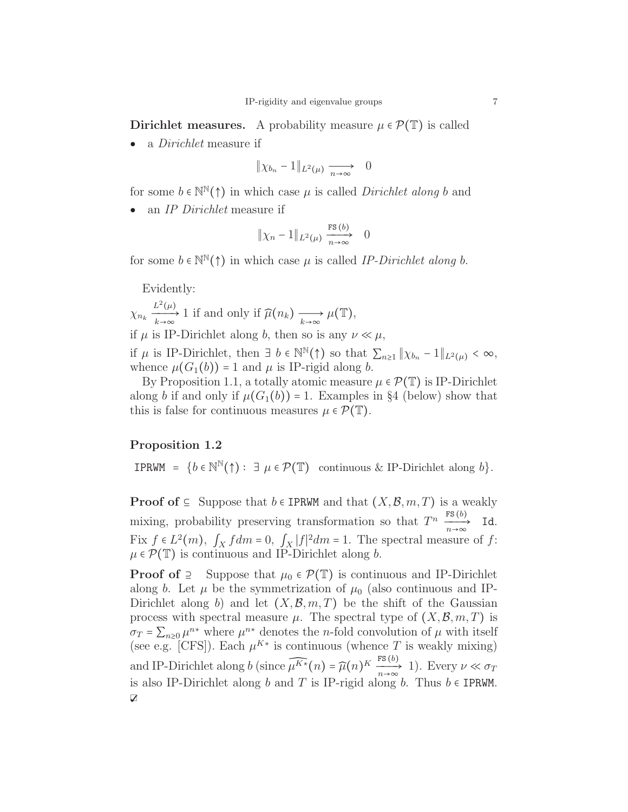Dirichlet measures. A probability measure  $\mu \in \mathcal{P}(\mathbb{T})$  is called

• a *Dirichlet* measure if

$$
\|\chi_{b_n} - 1\|_{L^2(\mu)} \xrightarrow[n \to \infty]{} 0
$$

for some  $b \in \mathbb{N}^{\mathbb{N}}(\uparrow)$  in which case  $\mu$  is called *Dirichlet along* b and

an IP Dirichlet measure if

$$
\|\chi_n - 1\|_{L^2(\mu)} \xrightarrow[n \to \infty]{\text{FS (b)}} 0
$$

for some  $b \in \mathbb{N}(\uparrow)$  in which case  $\mu$  is called IP-Dirichlet along b.

Evidently:

 $\chi_{n_k} \xrightarrow[k \to \infty]{L^2(\mu)} 1$  if and only if  $\widehat{\mu}(n_k) \xrightarrow[k \to \infty]{L^2(\mu)} \mu(\mathbb{T}),$ if  $\mu$  is IP-Dirichlet along b, then so is any  $\nu \ll \mu$ ,

if  $\mu$  is IP-Dirichlet, then  $\exists b \in \mathbb{N}^{\mathbb{N}}(\uparrow)$  so that  $\sum_{n\geq 1} ||\chi_{b_n} - 1||_{L^2(\mu)} < \infty$ , whence  $\mu(G_1(b)) = 1$  and  $\mu$  is IP-rigid along b.

By Proposition 1.1, a totally atomic measure  $\mu \in \mathcal{P}(\mathbb{T})$  is IP-Dirichlet along b if and only if  $\mu(G_1(b)) = 1$ . Examples in §4 (below) show that this is false for continuous measures  $\mu \in \mathcal{P}(\mathbb{T})$ .

# Proposition 1.2

**IPRWM** =  $\{b \in \mathbb{N}^{\mathbb{N}}(\uparrow) : \exists \mu \in \mathcal{P}(\mathbb{T}) \text{ continuous & IP-Dirichlet along } b\}.$ 

**Proof of** ⊆ Suppose that  $b \in$  IPRWM and that  $(X, \mathcal{B}, m, T)$  is a weakly mixing, probability preserving transformation so that  $T^n \xrightarrow[n \to \infty]{\text{FS}(b)} \text{Id}.$ Fix  $f \in L^2(m)$ ,  $\int_X f dm = 0$ ,  $\int_X |f|^2 dm = 1$ . The spectral measure of  $f$ :  $\mu \in \mathcal{P}(\mathbb{T})$  is continuous and IP-Dirichlet along b.

**Proof of** ⊇ Suppose that  $\mu_0 \in \mathcal{P}(\mathbb{T})$  is continuous and IP-Dirichlet along b. Let  $\mu$  be the symmetrization of  $\mu_0$  (also continuous and IP-Dirichlet along b) and let  $(X, \mathcal{B}, m, T)$  be the shift of the Gaussian process with spectral measure  $\mu$ . The spectral type of  $(X, \mathcal{B}, m, T)$  is  $\sigma_T = \sum_{n\geq 0} \mu^{n*}$  where  $\mu^{n*}$  denotes the *n*-fold convolution of  $\mu$  with itself (see e.g. [CFS]). Each  $\mu^{K*}$  is continuous (whence T is weakly mixing) and IP-Dirichlet along b (since  $\widehat{\mu^{K*}}(n) = \widehat{\mu}(n)^K \frac{\operatorname{rs}(b)}{n \to \infty}$  1). Every  $\nu \ll \sigma_T$ is also IP-Dirichlet along b and T is IP-rigid along b. Thus  $b \in IPRWM$ . V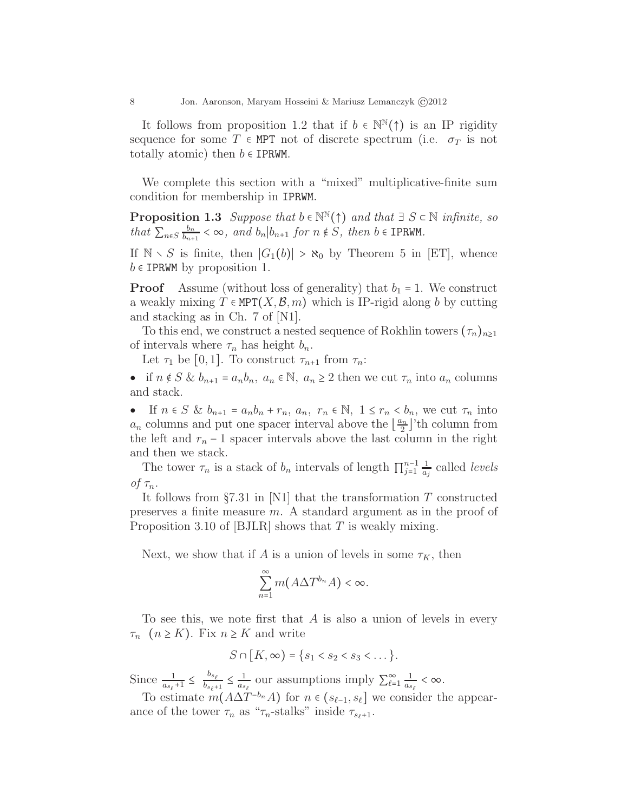It follows from proposition 1.2 that if  $b \in \mathbb{N}^{\mathbb{N}}(\uparrow)$  is an IP rigidity sequence for some T  $\epsilon$  MPT not of discrete spectrum (i.e.  $\sigma_T$  is not totally atomic) then  $b \in \text{IPRWM}$ .

We complete this section with a "mixed" multiplicative-finite sum condition for membership in IPRWM.

**Proposition 1.3** Suppose that  $b \in \mathbb{N}^{\mathbb{N}}(\uparrow)$  and that  $\exists S \subset \mathbb{N}$  infinite, so that  $\sum_{n\in S}\frac{b_n}{b_{n+1}}$  $\frac{b_n}{b_{n+1}} < \infty$ , and  $b_n | b_{n+1}$  for  $n \notin S$ , then  $b \in \text{IPRWM}$ .

If  $\mathbb{N} \setminus S$  is finite, then  $|G_1(b)| > \aleph_0$  by Theorem 5 in [ET], whence  $b \in IPRWM$  by proposition 1.

**Proof** Assume (without loss of generality) that  $b_1 = 1$ . We construct a weakly mixing  $T \in \text{MPT}(X,\mathcal{B},m)$  which is IP-rigid along b by cutting and stacking as in Ch. 7 of [N1].

To this end, we construct a nested sequence of Rokhlin towers  $(\tau_n)_{n\geq 1}$ of intervals where  $\tau_n$  has height  $b_n$ .

Let  $\tau_1$  be [0,1]. To construct  $\tau_{n+1}$  from  $\tau_n$ :

• if  $n \notin S$  &  $b_{n+1} = a_n b_n$ ,  $a_n \in \mathbb{N}$ ,  $a_n \ge 2$  then we cut  $\tau_n$  into  $a_n$  columns and stack.

• If  $n \in S$  &  $b_{n+1} = a_n b_n + r_n$ ,  $a_n$ ,  $r_n \in \mathbb{N}$ ,  $1 \le r_n < b_n$ , we cut  $\tau_n$  into  $a_n$  columns and put one spacer interval above the  $\left\lfloor \frac{a_n}{2} \right\rfloor$ 'th column from the left and  $r_n - 1$  spacer intervals above the last column in the right and then we stack.

The tower  $\tau_n$  is a stack of  $b_n$  intervals of length  $\prod_{j=1}^{n-1} \frac{1}{a_j}$  $rac{1}{a_j}$  called *levels* of  $\tau_n$ .

It follows from  $\S7.31$  in [N1] that the transformation T constructed preserves a finite measure m. A standard argument as in the proof of Proposition 3.10 of [BJLR] shows that  $T$  is weakly mixing.

Next, we show that if A is a union of levels in some  $\tau_K$ , then

$$
\sum_{n=1}^{\infty} m(A\Delta T^{b_n}A) < \infty.
$$

To see this, we note first that  $A$  is also a union of levels in every  $\tau_n$   $(n \geq K)$ . Fix  $n \geq K$  and write

$$
S\cap [K,\infty)=\{s_1
$$

Since  $\frac{1}{a_{s_\ell}+1} \leq \frac{b_{s_\ell}}{b_{s_\ell}+1}$  $\frac{b_{s_\ell}}{b_{s_\ell+1}} \leq \frac{1}{a_s}$  $\frac{1}{a_{s_\ell}}$  our assumptions imply  $\sum_{\ell=1}^{\infty} \frac{1}{a_s}$  $\frac{1}{a_{s_{\ell}}} < \infty$ .

To estimate  $m(A\Delta T^{-b_n}A)$  for  $n \in (s_{\ell-1}, s_{\ell}]$  we consider the appearance of the tower  $\tau_n$  as " $\tau_n$ -stalks" inside  $\tau_{s_\ell+1}$ .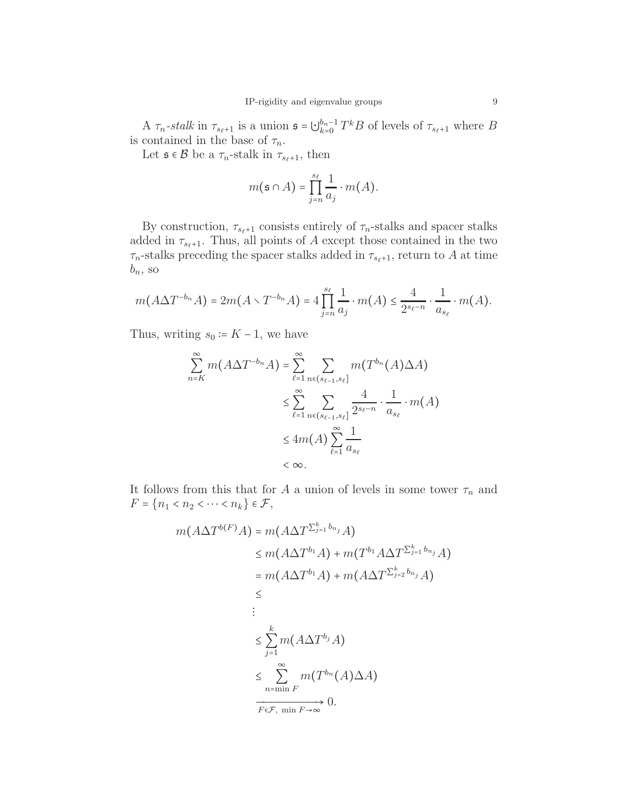A  $\tau_n$ -stalk in  $\tau_{s_\ell+1}$  is a union  $\mathfrak{s} = \bigcup_{k=0}^{b_n-1}$  $\frac{b_n-1}{k=0}T^kB$  of levels of  $\tau_{s_\ell+1}$  where B is contained in the base of  $\tau_n$ .

Let  $\mathfrak{s} \in \mathcal{B}$  be a  $\tau_n$ -stalk in  $\tau_{s_\ell+1}$ , then

$$
m(\mathfrak{s} \cap A) = \prod_{j=n}^{s_{\ell}} \frac{1}{a_j} \cdot m(A).
$$

By construction,  $\tau_{s_{\ell}+1}$  consists entirely of  $\tau_n$ -stalks and spacer stalks added in  $\tau_{s_{\ell}+1}$ . Thus, all points of A except those contained in the two  $\tau_n$ -stalks preceding the spacer stalks added in  $\tau_{s_{\ell}+1}$ , return to A at time  $b_n$ , so

$$
m(A\Delta T^{-b_n}A)=2m(A\smallsetminus T^{-b_n}A)=4\prod_{j=n}^{s_\ell}\frac{1}{a_j}\cdot m(A)\leq \frac{4}{2^{s_\ell-n}}\cdot \frac{1}{a_{s_\ell}}\cdot m(A).
$$

Thus, writing  $s_0 = K - 1$ , we have

$$
\sum_{n=K}^{\infty} m(A\Delta T^{-b_n}A) = \sum_{\ell=1}^{\infty} \sum_{n \in (s_{\ell-1}, s_{\ell}]} m(T^{b_n}(A)\Delta A)
$$
  

$$
\leq \sum_{\ell=1}^{\infty} \sum_{n \in (s_{\ell-1}, s_{\ell}]} \frac{4}{2^{s_{\ell}-n}} \cdot \frac{1}{a_{s_{\ell}}} \cdot m(A)
$$
  

$$
\leq 4m(A) \sum_{\ell=1}^{\infty} \frac{1}{a_{s_{\ell}}}
$$
  

$$
< \infty.
$$

It follows from this that for A a union of levels in some tower  $\tau_n$  and  $F = \{n_1 < n_2 < \cdots < n_k\} \in \mathcal{F},$ 

$$
m(A\Delta T^{b(F)}A) = m(A\Delta T^{\sum_{j=1}^{k} b_{n_j}}A)
$$
  
\n
$$
\leq m(A\Delta T^{b_1}A) + m(T^{b_1}A\Delta T^{\sum_{j=1}^{k} b_{n_j}}A)
$$
  
\n
$$
= m(A\Delta T^{b_1}A) + m(A\Delta T^{\sum_{j=2}^{k} b_{n_j}}A)
$$
  
\n
$$
\leq \sum_{j=1}^{k} m(A\Delta T^{b_j}A)
$$
  
\n
$$
\leq \sum_{n=\min F}^{\infty} m(T^{b_n}(A)\Delta A)
$$
  
\n
$$
\xrightarrow[F\in\mathcal{F}, \min F\to\infty]{} 0.
$$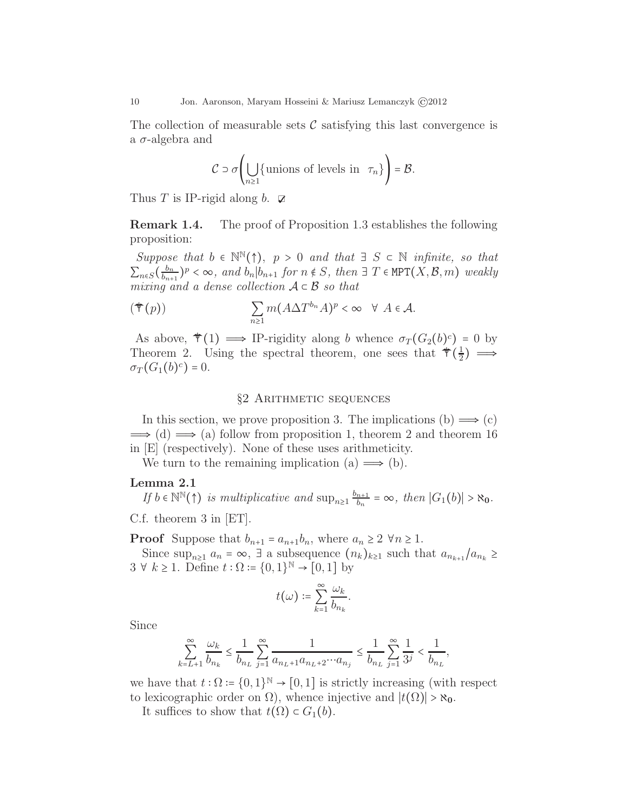The collection of measurable sets  $\mathcal C$  satisfying this last convergence is a  $\sigma$ -algebra and

$$
C \supset \sigma\left(\bigcup_{n\geq 1} \{\text{unions of levels in } \tau_n\}\right) = \mathcal{B}.
$$

Thus T is IP-rigid along b.  $\triangledown$ 

Remark 1.4. The proof of Proposition 1.3 establishes the following proposition:

Suppose that  $b \in \mathbb{N}^{\mathbb{N}}(\uparrow)$ ,  $p > 0$  and that  $\exists S \subset \mathbb{N}$  infinite, so that  $\sum_{n\in S}\left(\frac{b_n}{b_{n+1}}\right)$  $(\frac{b_n}{b_{n+1}})^p < \infty$ , and  $b_n | b_{n+1}$  for  $n \notin S$ , then  $\exists T \in \text{MPT}(X, \mathcal{B}, m)$  weakly mixing and a dense collection  $A \subset B$  so that

$$
(\mathbf{\blacklozenge}(p)) \qquad \qquad \sum_{n\geq 1} m(A\Delta T^{b_n}A)^p < \infty \quad \forall \ A \in \mathcal{A}.
$$

As above,  $\mathcal{F}(1) \longrightarrow \text{IP-rigidity along } b \text{ whence } \sigma_T (G_2(b)^c) = 0$  by Theorem 2. Using the spectral theorem, one sees that  $\mathcal{F}(\frac{1}{2})$  $\frac{1}{2}$ )  $\implies$  $\sigma_T(G_1(b)^c)=0.$ 

### §2 Arithmetic sequences

In this section, we prove proposition 3. The implications (b)  $\implies$  (c)  $\Rightarrow$  (d)  $\Rightarrow$  (a) follow from proposition 1, theorem 2 and theorem 16 in [E] (respectively). None of these uses arithmeticity.

We turn to the remaining implication (a)  $\implies$  (b).

#### Lemma 2.1

If  $b \in \mathbb{N}^{\mathbb{N}}(\uparrow)$  is multiplicative and  $\sup_{n\geq 1} \frac{b_{n+1}}{b_n}$  $\frac{n+1}{b_n} = \infty$ , then  $|G_1(b)| > \aleph_0$ .

C.f. theorem 3 in [ET].

**Proof** Suppose that  $b_{n+1} = a_{n+1}b_n$ , where  $a_n \geq 2 \forall n \geq 1$ .

Since  $\sup_{n\geq 1} a_n = \infty$ ,  $\exists$  a subsequence  $(n_k)_{k\geq 1}$  such that  $a_{n_{k+1}}/a_{n_k} \geq$  $3 \forall k \geq 1$ . Define  $t : \Omega \coloneqq \{0, 1\}^{\mathbb{N}} \to [0, 1]$  by

$$
t(\omega) \coloneqq \sum_{k=1}^{\infty} \frac{\omega_k}{b_{n_k}}.
$$

Since

$$
\sum_{k=L+1}^{\infty}\frac{\omega_k}{b_{n_k}}\leq \frac{1}{b_{n_L}}\sum_{j=1}^{\infty}\frac{1}{a_{n_L+1}a_{n_L+2}\cdots a_{n_j}}\leq \frac{1}{b_{n_L}}\sum_{j=1}^{\infty}\frac{1}{3^j}<\frac{1}{b_{n_L}},
$$

we have that  $t : \Omega = \{0,1\}^{\mathbb{N}} \to [0,1]$  is strictly increasing (with respect to lexicographic order on  $\Omega$ ), whence injective and  $|t(\Omega)| > \aleph_0$ .

It suffices to show that  $t(\Omega) \subset G_1(b)$ .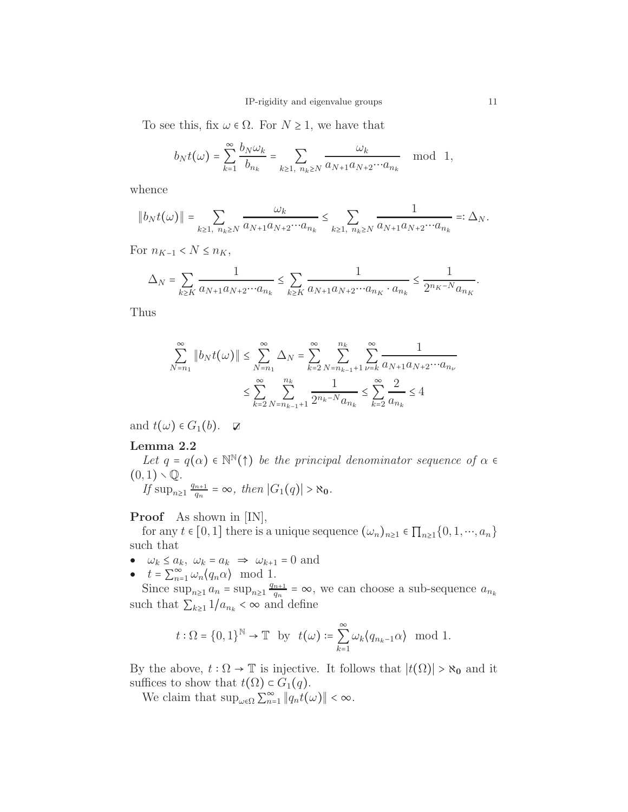To see this, fix  $\omega \in \Omega$ . For  $N \geq 1$ , we have that

$$
b_Nt(\omega)=\sum_{k=1}^{\infty}\frac{b_N\omega_k}{b_{n_k}}=\sum_{k\geq 1,\ n_k\geq N}\frac{\omega_k}{a_{N+1}a_{N+2}\cdots a_{n_k}}\mod 1,
$$

whence

$$
\|b_Nt(\omega)\|=\sum_{k\ge 1,\ n_k\ge N}\frac{\omega_k}{a_{N+1}a_{N+2}\cdots a_{n_k}}\le \sum_{k\ge 1,\ n_k\ge N}\frac{1}{a_{N+1}a_{N+2}\cdots a_{n_k}}=:\Delta_N.
$$

For  $n_{K-1}$  <  $N \leq n_K$ ,

$$
\Delta_N = \sum_{k \geq K} \frac{1}{a_{N+1} a_{N+2} \cdots a_{n_k}} \leq \sum_{k \geq K} \frac{1}{a_{N+1} a_{N+2} \cdots a_{n_K} \cdot a_{n_k}} \leq \frac{1}{2^{n_K-N} a_{n_K}}.
$$

Thus

$$
\sum_{N=n_1}^{\infty} \|b_N t(\omega)\| \le \sum_{N=n_1}^{\infty} \Delta_N = \sum_{k=2}^{\infty} \sum_{N=n_{k-1}+1}^{n_k} \sum_{\nu=k}^{\infty} \frac{1}{a_{N+1} a_{N+2} \cdots a_{n_{\nu}}}
$$

$$
\le \sum_{k=2}^{\infty} \sum_{N=n_{k-1}+1}^{n_k} \frac{1}{2^{n_k - N} a_{n_k}} \le \sum_{k=2}^{\infty} \frac{2}{a_{n_k}} \le 4
$$

and  $t(\omega) \in G_1(b)$ .  $\Box$ 

## Lemma 2.2

Let  $q = q(\alpha) \in \mathbb{N}^{\mathbb{N}}(\uparrow)$  be the principal denominator sequence of  $\alpha \in \mathbb{N}$  $(0, 1) \setminus \mathbb{Q}$ .  $q_{n+1}$ 

If 
$$
\sup_{n\geq 1} \frac{q_{n+1}}{q_n} = \infty
$$
, then  $|G_1(q)| > \aleph_0$ .

Proof As shown in [IN],

for any  $t \in [0,1]$  there is a unique sequence  $(\omega_n)_{n\geq 1} \in \prod_{n\geq 1} \{0,1,\dots,a_n\}$ such that

- $\bullet \quad \omega_k \leq a_k, \ \omega_k = a_k \ \Rightarrow \ \omega_{k+1} = 0 \text{ and}$
- $t = \sum_{n=1}^{\infty} \omega_n \langle q_n \alpha \rangle \mod 1.$

Since  $\sup_{n\geq 1} a_n = \sup_{n\geq 1} \frac{q_{n+1}}{q_n}$  $\frac{n+1}{q_n} = \infty$ , we can choose a sub-sequence  $a_{n_k}$ such that  $\sum_{k\geq 1} 1/a_{n_k} < \infty$  and define

$$
t : \Omega = \{0, 1\}^{\mathbb{N}} \to \mathbb{T}
$$
 by  $t(\omega) := \sum_{k=1}^{\infty} \omega_k \langle q_{n_k-1} \alpha \rangle \mod 1$ .

By the above,  $t : \Omega \to \mathbb{T}$  is injective. It follows that  $|t(\Omega)| > \aleph_0$  and it suffices to show that  $t(\Omega) \subset G_1(q)$ .

We claim that  $\sup_{\omega \in \Omega} \sum_{n=1}^{\infty} ||q_n t(\omega)|| < \infty$ .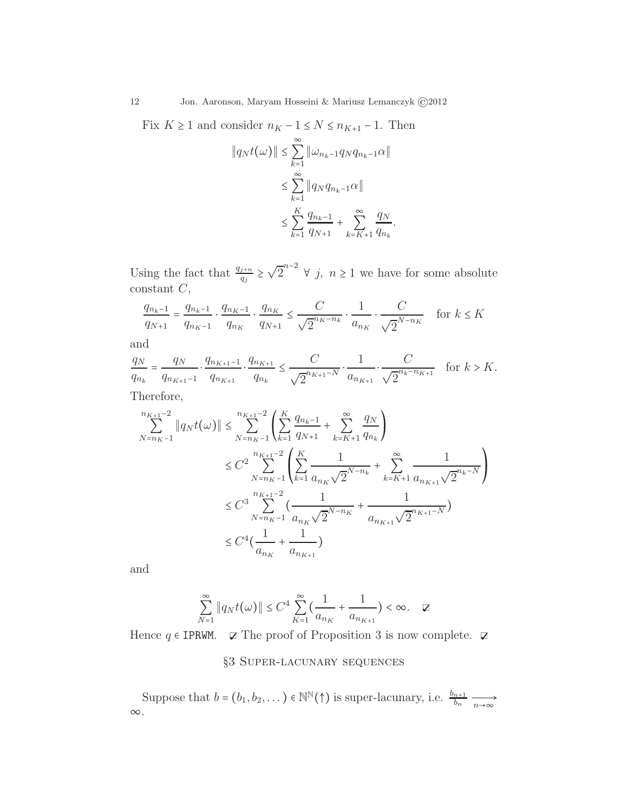Fix  $K\geq 1$  and consider  $n_K-1\leq N\leq n_{K+1}-1.$  Then

$$
||q_N t(\omega)|| \le \sum_{k=1}^{\infty} ||\omega_{n_k-1} q_N q_{n_k-1} \alpha||
$$
  

$$
\le \sum_{k=1}^{\infty} ||q_N q_{n_k-1} \alpha||
$$
  

$$
\le \sum_{k=1}^{K} \frac{q_{n_k-1}}{q_{N+1}} + \sum_{k=K+1}^{\infty} \frac{q_N}{q_{n_k}}.
$$

Using the fact that  $\frac{q_{j+n}}{q_j} \geq \sqrt{2}^{n-2}$   $\forall j, n \geq 1$  we have for some absolute constant C,

$$
\frac{q_{n_k-1}}{q_{N+1}} = \frac{q_{n_k-1}}{q_{n_K-1}} \cdot \frac{q_{n_K-1}}{q_{n_K}} \cdot \frac{q_{n_K}}{q_{N+1}} \le \frac{C}{\sqrt{2}} \cdot \frac{1}{a_{n_K}} \cdot \frac{C}{\sqrt{2}^{N-n_K}} \quad \text{for } k \le K
$$

and

 $q_N$  $q_{n_k}$  $=\frac{q_N}{q}$  $q_{n_{K+1}-1}$  $\frac{q_{n_{K+1}-1}}{n_{K+1}-1}$  $q_{n_{K+1}}$  $\frac{q_{n_{K+1}}}{\cdots}$  $q_{n_k}$  $\leq$   $\frac{C}{\sqrt{n\mu}}$  $\frac{C}{\sqrt{2}^{n_{K+1}-N}} \cdot \frac{1}{a_{n_K}}$  $a_{n_{K+1}}$  $\cdot \frac{C}{\sqrt{C}}$  $\frac{C}{\sqrt{2}^{n_k-n_{K+1}}}$  for  $k > K$ .

Therefore,

$$
\sum_{N=n_K-1}^{n_{K+1}-2} \|q_N t(\omega)\| \le \sum_{N=n_K-1}^{n_{K+1}-2} \left( \sum_{k=1}^K \frac{q_{n_k-1}}{q_{N+1}} + \sum_{k=K+1}^\infty \frac{q_N}{q_{n_k}} \right)
$$
  

$$
\le C^2 \sum_{N=n_K-1}^{n_{K+1}-2} \left( \sum_{k=1}^K \frac{1}{a_{n_k} \sqrt{2}^{N-n_k}} + \sum_{k=K+1}^\infty \frac{1}{a_{n_{K+1}} \sqrt{2}^{n_k-N}} \right)
$$
  

$$
\le C^3 \sum_{N=n_K-1}^{n_{K+1}-2} \left( \frac{1}{a_{n_K} \sqrt{2}^{N-n_K}} + \frac{1}{a_{n_{K+1}} \sqrt{2}^{n_{K+1}-N}} \right)
$$
  

$$
\le C^4 \left( \frac{1}{a_{n_K}} + \frac{1}{a_{n_{K+1}}} \right)
$$

and

$$
\sum_{N=1}^{\infty} \|q_N t(\omega)\| \le C^4 \sum_{K=1}^{\infty} \left(\frac{1}{a_{n_K}} + \frac{1}{a_{n_{K+1}}}\right) < \infty. \quad \square
$$

Hence  $q \in \text{IPRWM.}$   $\Box$  The proof of Proposition 3 is now complete.  $\Box$ 

§3 Super-lacunary sequences

Suppose that  $b = (b_1, b_2, ...) \in \mathbb{N}^{\mathbb{N}}(\uparrow)$  is super-lacunary, i.e.  $\frac{b_{n+1}}{b_n} \longrightarrow \infty$ .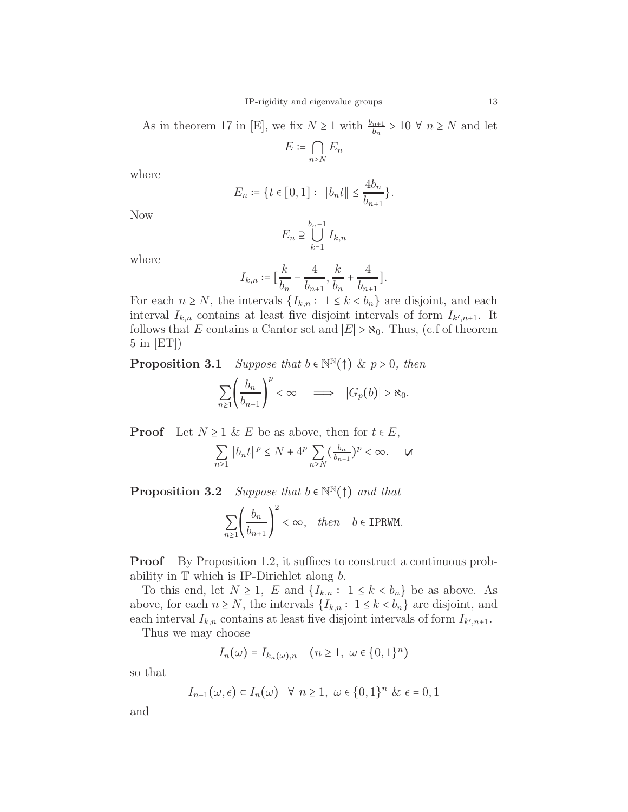As in theorem 17 in [E], we fix  $N \ge 1$  with  $\frac{b_{n+1}}{b_n} > 10 \forall n \ge N$  and let

$$
E \coloneqq \bigcap_{n \ge N} E_n
$$

where

$$
E_n \coloneqq \{ t \in [0, 1] : \ \|b_n t\| \le \frac{4b_n}{b_{n+1}} \}.
$$

Now

$$
E_n \supseteq \bigcup_{k=1}^{b_n-1} I_{k,n}
$$

where

$$
I_{k,n}\coloneqq\big[\frac{k}{b_n}-\frac{4}{b_{n+1}},\frac{k}{b_n}+\frac{4}{b_{n+1}}\big].
$$

For each  $n \geq N$ , the intervals  $\{I_{k,n}: 1 \leq k \leq b_n\}$  are disjoint, and each interval  $I_{k,n}$  contains at least five disjoint intervals of form  $I_{k',n+1}$ . It follows that E contains a Cantor set and  $|E| > \aleph_0$ . Thus, (c.f of theorem 5 in [ET])

**Proposition 3.1** Suppose that  $b \in \mathbb{N}^{\mathbb{N}}(\uparrow)$  & p > 0, then

$$
\sum_{n\geq 1} \left(\frac{b_n}{b_{n+1}}\right)^p < \infty \quad \Longrightarrow \quad |G_p(b)| > \aleph_0.
$$

**Proof** Let  $N \geq 1$  & E be as above, then for  $t \in E$ ,

$$
\sum_{n\geq 1} \|b_n t\|^p \leq N + 4^p \sum_{n\geq N} \left(\frac{b_n}{b_{n+1}}\right)^p < \infty. \quad \Box
$$

**Proposition 3.2** Suppose that  $b \in \mathbb{N}^{\mathbb{N}}(\uparrow)$  and that

$$
\sum_{n\geq 1}\left(\frac{b_n}{b_{n+1}}\right)^2<\infty,\quad \text{then}\quad b\in\text{IPRWM}.
$$

**Proof** By Proposition 1.2, it suffices to construct a continuous probability in  $\mathbb T$  which is IP-Dirichlet along  $b$ .

To this end, let  $N \geq 1$ , E and  $\{I_{k,n} : 1 \leq k < b_n\}$  be as above. As above, for each  $n \geq N$ , the intervals  $\{I_{k,n}: 1 \leq k \leq b_n\}$  are disjoint, and each interval  $I_{k,n}$  contains at least five disjoint intervals of form  $I_{k',n+1}$ .

Thus we may choose

$$
I_n(\omega) = I_{k_n(\omega),n} \quad (n \ge 1, \ \omega \in \{0,1\}^n)
$$

so that

$$
I_{n+1}(\omega,\epsilon) \subset I_n(\omega) \quad \forall \ n \ge 1, \ \omega \in \{0,1\}^n \ \& \ \epsilon = 0,1
$$

and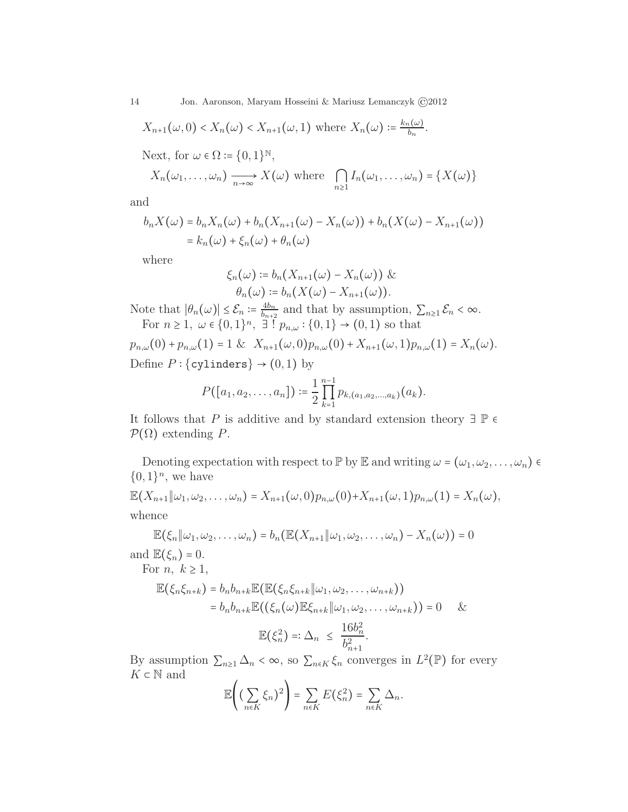$$
X_{n+1}(\omega,0) < X_n(\omega) < X_{n+1}(\omega,1) \text{ where } X_n(\omega) \coloneqq \frac{k_n(\omega)}{b_n}.
$$

Next, for  $\omega \in \Omega \coloneqq \{0, 1\}^{\mathbb{N}},$ 

$$
X_n(\omega_1,\ldots,\omega_n) \xrightarrow[n\to\infty]{} X(\omega) \text{ where } \bigcap_{n\geq 1} I_n(\omega_1,\ldots,\omega_n) = \{X(\omega)\}
$$

and

$$
b_n X(\omega) = b_n X_n(\omega) + b_n (X_{n+1}(\omega) - X_n(\omega)) + b_n (X(\omega) - X_{n+1}(\omega))
$$
  
=  $k_n(\omega) + \xi_n(\omega) + \theta_n(\omega)$ 

where

$$
\xi_n(\omega) \coloneqq b_n(X_{n+1}(\omega) - X_n(\omega)) \& \theta_n(\omega) \coloneqq b_n(X(\omega) - X_{n+1}(\omega)).
$$

Note that  $|\theta_n(\omega)| \leq \mathcal{E}_n \coloneqq \frac{4b_n}{b_{n+2}}$  $\frac{4b_n}{b_{n+2}}$  and that by assumption,  $\sum_{n\geq 1} \mathcal{E}_n < \infty$ . For  $n \geq 1$ ,  $\omega \in \{0, 1\}^n$ ,  $\exists$   $p_{n,\omega} : \{0, 1\} \to (0, 1)$  so that

 $p_{n,\omega}(0) + p_{n,\omega}(1) = 1 \& X_{n+1}(\omega,0) p_{n,\omega}(0) + X_{n+1}(\omega,1) p_{n,\omega}(1) = X_n(\omega).$ Define  $P$  : {cylinders}  $\rightarrow$  (0,1) by

$$
P([a_1, a_2, \ldots, a_n]) \coloneqq \frac{1}{2} \prod_{k=1}^{n-1} p_{k,(a_1, a_2, \ldots, a_k)}(a_k).
$$

It follows that P is additive and by standard extension theory  $\exists \mathbb{P} \in \mathbb{Q}$  $\mathcal{P}(\Omega)$  extending P.

Denoting expectation with respect to P by E and writing  $\omega = (\omega_1, \omega_2, \dots, \omega_n)$  $\{0,1\}^n$ , we have

 $\mathbb{E}(X_{n+1}||\omega_1, \omega_2, \ldots, \omega_n) = X_{n+1}(\omega, 0)p_{n,\omega}(0) + X_{n+1}(\omega, 1)p_{n,\omega}(1) = X_n(\omega),$ whence

$$
\mathbb{E}(\xi_n \| \omega_1, \omega_2, \ldots, \omega_n) = b_n(\mathbb{E}(X_{n+1} \| \omega_1, \omega_2, \ldots, \omega_n) - X_n(\omega)) = 0
$$

and  $\mathbb{E}(\xi_n)=0$ .

For 
$$
n, k \ge 1
$$
,

$$
\mathbb{E}(\xi_n \xi_{n+k}) = b_n b_{n+k} \mathbb{E}(\mathbb{E}(\xi_n \xi_{n+k} \| \omega_1, \omega_2, \dots, \omega_{n+k}))
$$
  
=  $b_n b_{n+k} \mathbb{E}((\xi_n(\omega) \mathbb{E} \xi_{n+k} \| \omega_1, \omega_2, \dots, \omega_{n+k})) = 0 \&$   

$$
\mathbb{E}(\xi_n^2) =: \Delta_n \leq \frac{16b_n^2}{b_{n+1}^2}.
$$

By assumption  $\sum_{n\geq 1} \Delta_n < \infty$ , so  $\sum_{n\in K} \xi_n$  converges in  $L^2(\mathbb{P})$  for every  $K\subset \mathbb{N}$  and  $\overline{\phantom{a}}$ 

$$
\mathbb{E}\left((\sum_{n\in K}\xi_n)^2\right)=\sum_{n\in K}E(\xi_n^2)=\sum_{n\in K}\Delta_n.
$$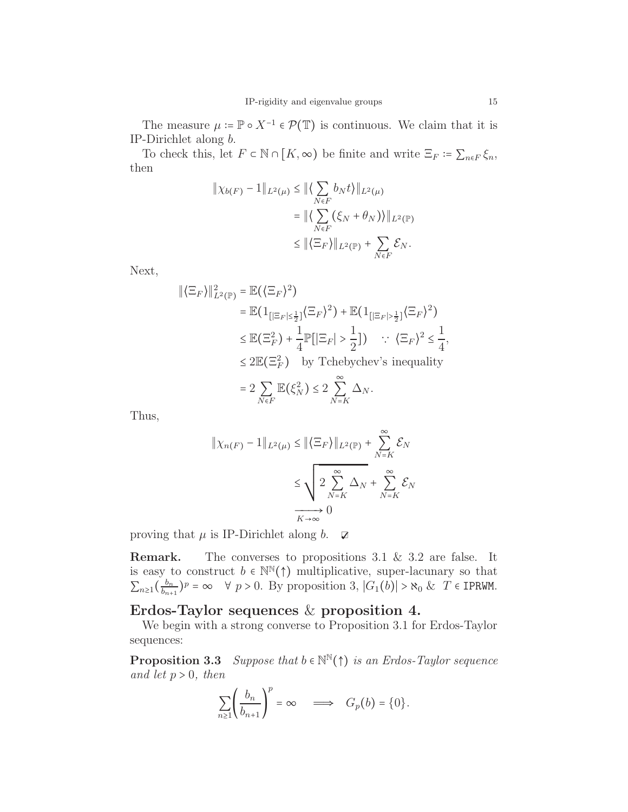The measure  $\mu := \mathbb{P} \circ X^{-1} \in \mathcal{P}(\mathbb{T})$  is continuous. We claim that it is IP-Dirichlet along b.

To check this, let  $F \subset \mathbb{N} \cap [K, \infty)$  be finite and write  $\Xi_F \coloneqq \sum_{n \in F} \xi_n$ , then

$$
\|\chi_{b(F)} - 1\|_{L^2(\mu)} \le \|\langle \sum_{N \in F} b_N t \rangle\|_{L^2(\mu)}
$$
  

$$
= \|\langle \sum_{N \in F} (\xi_N + \theta_N) \rangle\|_{L^2(\mathbb{P})}
$$
  

$$
\le \|\langle \Xi_F \rangle\|_{L^2(\mathbb{P})} + \sum_{N \in F} \mathcal{E}_N.
$$

Next,

$$
\begin{aligned} \|\langle \Xi_F \rangle \|_{L^2(\mathbb{P})}^2 &= \mathbb{E}(\langle \Xi_F \rangle^2) \\ &= \mathbb{E}(\mathbf{1}_{\{|\Xi_F| \le \frac{1}{2}\}} \langle \Xi_F \rangle^2) + \mathbb{E}(\mathbf{1}_{\{|\Xi_F| > \frac{1}{2}\}} \langle \Xi_F \rangle^2) \\ &\le \mathbb{E}(\Xi_F^2) + \frac{1}{4} \mathbb{P}[\left| \Xi_F \right| > \frac{1}{2}] \} \quad \therefore \quad \langle \Xi_F \rangle^2 \le \frac{1}{4}, \\ &\le 2 \mathbb{E}(\Xi_F^2) \quad \text{by Tchebychev's inequality} \\ &= 2 \sum_{N \in F} \mathbb{E}(\xi_N^2) \le 2 \sum_{N=K}^{\infty} \Delta_N. \end{aligned}
$$

Thus,

$$
\|\chi_{n(F)} - 1\|_{L^2(\mu)} \le \|\langle \Xi_F \rangle\|_{L^2(\mathbb{P})} + \sum_{N=K}^{\infty} \mathcal{E}_N
$$
  

$$
\le \sqrt{2 \sum_{N=K}^{\infty} \Delta_N} + \sum_{N=K}^{\infty} \mathcal{E}_N
$$
  

$$
\xrightarrow[K \to \infty]{} 0
$$

proving that  $\mu$  is IP-Dirichlet along  $b$ .  $\Box$ 

Remark. The converses to propositions 3.1 & 3.2 are false. It is easy to construct  $b \in \mathbb{N}^{\mathbb{N}}(\uparrow)$  multiplicative, super-lacunary so that  $\sum_{n\geq 1} \left(\frac{b_n}{b_{n+1}}\right)$  $\frac{b_n}{b_{n+1}}$ )<sup>p</sup> = ∞  $\forall$  p > 0. By proposition 3,  $|G_1(b)| > \aleph_0 \& T \in \text{IPRWM}$ .

# Erdos-Taylor sequences & proposition 4.

We begin with a strong converse to Proposition 3.1 for Erdos-Taylor sequences:

**Proposition 3.3** Suppose that  $b \in \mathbb{N}^{\mathbb{N}}(\uparrow)$  is an Erdos-Taylor sequence and let  $p > 0$ , then

$$
\sum_{n\geq 1} \left(\frac{b_n}{b_{n+1}}\right)^p = \infty \quad \Longrightarrow \quad G_p(b) = \{0\}.
$$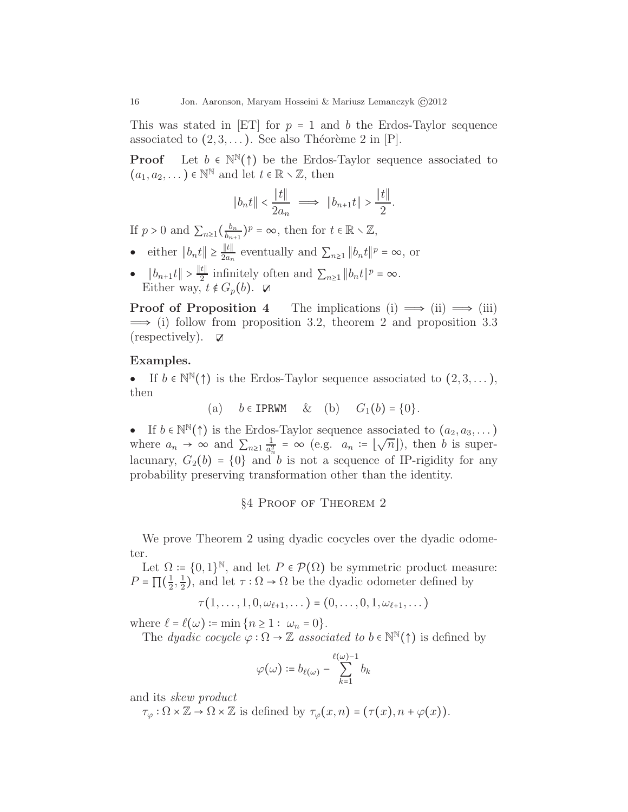This was stated in [ET] for  $p = 1$  and b the Erdos-Taylor sequence associated to  $(2, 3, \ldots)$ . See also Théorème 2 in  $[P]$ .

**Proof** Let  $b \in \mathbb{N}^{\mathbb{N}}(\uparrow)$  be the Erdos-Taylor sequence associated to  $(a_1, a_2, \dots) \in \mathbb{N}^{\mathbb{N}}$  and let  $t \in \mathbb{R} \setminus \mathbb{Z}$ , then

$$
||b_n t|| < \frac{||t||}{2a_n} \implies ||b_{n+1} t|| > \frac{||t||}{2}.
$$

If  $p > 0$  and  $\sum_{n \geq 1} \left( \frac{b_n}{b_{n+1}} \right)$  $\frac{b_n}{b_{n+1}}$ )<sup>p</sup> =  $\infty$ , then for  $t \in \mathbb{R} \setminus \mathbb{Z}$ ,

- either  $||b_n t|| \geq \frac{||t||}{2a_n}$  $\frac{\|t\|}{2a_n}$  eventually and  $\sum_{n\geq 1} ||b_n t||^p = \infty$ , or
- $||b_{n+1}t|| > \frac{||t||}{2}$  infinitely often and  $\sum_{n\geq 1} ||b_n t||^p = \infty$ . Either way,  $t \notin G_p(b)$ .  $\Box$

**Proof of Proposition 4** The implications (i)  $\implies$  (ii)  $\implies$  (iii)  $\implies$  (i) follow from proposition 3.2, theorem 2 and proposition 3.3 (respectively).  $\Box$ 

## Examples.

• If  $b \in \mathbb{N}(\uparrow)$  is the Erdos-Taylor sequence associated to  $(2, 3, \dots)$ , then

(a) 
$$
b \in \text{IPRWM} \& (b) \quad G_1(b) = \{0\}.
$$

• If  $b \in \mathbb{N}^{\mathbb{N}}(\uparrow)$  is the Erdos-Taylor sequence associated to  $(a_2, a_3, \dots)$ where  $a_n \to \infty$  and  $\sum_{n\geq 1} \frac{1}{a_n^2}$  $rac{1}{a_n^2} = \infty$  (e.g.  $a_n := [\sqrt{n}]$ ), then *b* is superlacunary,  $G_2(b) = \{0\}$  and b is not a sequence of IP-rigidity for any probability preserving transformation other than the identity.

## §4 Proof of Theorem 2

We prove Theorem 2 using dyadic cocycles over the dyadic odometer.

Let  $\Omega := \{0,1\}^{\mathbb{N}},$  and let  $P \in \mathcal{P}(\Omega)$  be symmetric product measure:  $P = \prod(\frac{1}{2})$  $\frac{1}{2}, \frac{1}{2}$  $\frac{1}{2}$ ), and let  $\tau : \Omega \to \Omega$  be the dyadic odometer defined by

$$
\tau(1,\ldots,1,0,\omega_{\ell+1},\ldots)=(0,\ldots,0,1,\omega_{\ell+1},\ldots)
$$

where  $\ell = \ell(\omega) := \min\{n \geq 1: \omega_n = 0\}.$ 

The *dyadic cocycle*  $\varphi : \Omega \to \mathbb{Z}$  associated to  $b \in \mathbb{N}^{\mathbb{N}}(\uparrow)$  is defined by

$$
\varphi\big(\omega\big)\coloneqq b_{\ell(\omega)}-\sum_{k=1}^{\ell(\omega)-1}b_k
$$

and its skew product

 $\tau_{\varphi} : \Omega \times \mathbb{Z} \to \Omega \times \mathbb{Z}$  is defined by  $\tau_{\varphi}(x, n) = (\tau(x), n + \varphi(x)).$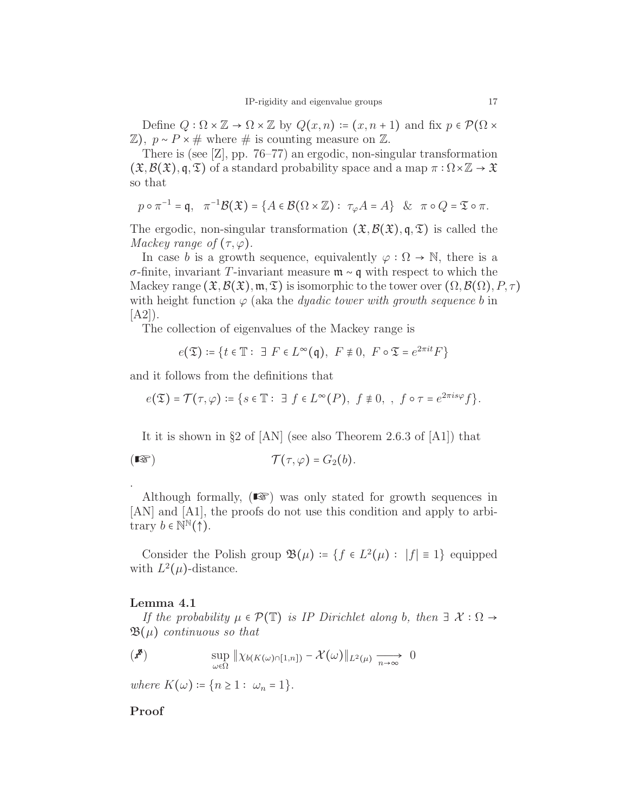Define  $Q : \Omega \times \mathbb{Z} \to \Omega \times \mathbb{Z}$  by  $Q(x,n) := (x, n+1)$  and fix  $p \in \mathcal{P}(\Omega \times$  $\mathbb{Z}$ ),  $p \sim P \times \#$  where  $\#$  is counting measure on  $\mathbb{Z}$ .

There is (see [Z], pp. 76–77) an ergodic, non-singular transformation  $(\mathfrak{X},\mathcal{B}(\mathfrak{X}),\mathfrak{q},\mathfrak{T})$  of a standard probability space and a map  $\pi:\Omega\times\mathbb{Z}\to\mathfrak{X}$ so that

$$
p \circ \pi^{-1} = \mathfrak{q}, \quad \pi^{-1} \mathcal{B}(\mathfrak{X}) = \{ A \in \mathcal{B}(\Omega \times \mathbb{Z}) : \tau_{\varphi} A = A \} \& \pi \circ Q = \mathfrak{To} \pi.
$$

The ergodic, non-singular transformation  $(\mathfrak{X}, \mathcal{B}(\mathfrak{X}), \mathfrak{q}, \mathfrak{T})$  is called the Mackey range of  $(\tau, \varphi)$ .

In case b is a growth sequence, equivalently  $\varphi : \Omega \to \mathbb{N}$ , there is a σ-finite, invariant T-invariant measure m ∼ q with respect to which the Mackey range  $(\mathfrak{X},\mathcal{B}(\mathfrak{X}),\mathfrak{m},\mathfrak{T})$  is isomorphic to the tower over  $(\Omega,\mathcal{B}(\Omega),P,\tau)$ with height function  $\varphi$  (aka the *dyadic tower with growth sequence b* in  $[A2]$ .

The collection of eigenvalues of the Mackey range is

$$
e(\mathfrak{T}) \coloneqq \{ t \in \mathbb{T} : \exists \ F \in L^{\infty}(\mathfrak{q}), \ F \not\equiv 0, \ F \circ \mathfrak{T} = e^{2\pi it} F \}
$$

and it follows from the definitions that

$$
e(\mathfrak{T})=\mathcal{T}\big(\tau,\varphi\big)\coloneqq\big\{s\in\mathbb{T}:\ \exists\ f\in L^\infty\big(P\big),\ f\not\equiv 0,\ ,\ f\circ\tau=e^{2\pi is\varphi}f\big\}.
$$

It it is shown in §2 of [AN] (see also Theorem 2.6.3 of [A1]) that

$$
(\mathbb{I}\mathfrak{F})\qquad \qquad \mathcal{T}(\tau,\varphi)=G_2(b).
$$

Although formally,  $(\mathbb{R})$  was only stated for growth sequences in [AN] and [A1], the proofs do not use this condition and apply to arbitrary  $b \in \mathbb{N}^{\mathbb{N}}(\uparrow)$ .

Consider the Polish group  $\mathfrak{B}(\mu) = \{f \in L^2(\mu) : |f| \equiv 1\}$  equipped with  $L^2(\mu)$ -distance.

#### Lemma 4.1

.

If the probability  $\mu \in \mathcal{P}(\mathbb{T})$  is IP Dirichlet along b, then  $\exists \mathcal{X} : \Omega \rightarrow$  $\mathfrak{B}(\mu)$  continuous so that

$$
\left(\mathbf{x}^{\mathbf{R}}\right) \qquad \qquad \sup_{\omega \in \Omega} \|\chi_{b(K(\omega)\cap[1,n])} - \mathcal{X}(\omega)\|_{L^2(\mu)} \xrightarrow[n \to \infty]{} 0
$$

where  $K(\omega) := \{n \geq 1 : \omega_n = 1\}.$ 

## Proof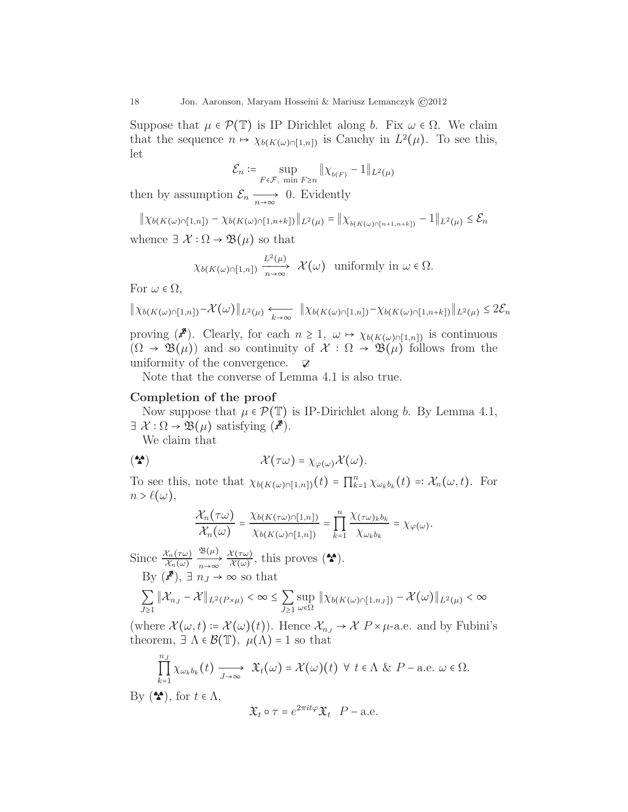Suppose that  $\mu \in \mathcal{P}(\mathbb{T})$  is IP Dirichlet along b. Fix  $\omega \in \Omega$ . We claim that the sequence  $n \mapsto \chi_{b(K(\omega) \cap [1,n])}$  is Cauchy in  $L^2(\mu)$ . To see this, let

$$
\mathcal{E}_n := \sup_{F \in \mathcal{F}, \text{ min } F \ge n} \| \chi_{b(F)} - 1 \|_{L^2(\mu)}
$$

then by assumption  $\mathcal{E}_n \longrightarrow_{\infty} 0$ . Evidently

$$
\|\chi_{b(K(\omega)\cap[1,n])}-\chi_{b(K(\omega)\cap[1,n+k])}\|_{L^2(\mu)}=\|\chi_{b(K(\omega)\cap[n+1,n+k])}-1\|_{L^2(\mu)}\leq \mathcal{E}_n
$$

whence  $\exists \mathcal{X} : \Omega \to \mathfrak{B}(\mu)$  so that

$$
\chi_{b(K(\omega)\cap[1,n])}\xrightarrow[n\to\infty]{L^2(\mu)}\mathcal{X}\big(\omega\big)\ \ \text{uniformly in}\ \omega\in\Omega.
$$

For  $\omega \in \Omega$ ,

$$
\|\chi_{b(K(\omega)\cap[1,n])}-\mathcal{X}(\omega)\|_{L^2(\mu)} \underset{k\to\infty}{\longleftarrow} \|\chi_{b(K(\omega)\cap[1,n])}-\chi_{b(K(\omega)\cap[1,n+k])}\|_{L^2(\mu)} \leq 2\mathcal{E}_n
$$

proving  $(\mathbf{x}^{\mathbf{x}})$ . Clearly, for each  $n \geq 1$ ,  $\omega \mapsto \chi_{b(K(\omega)\cap[1,n])}$  is continuous  $(\Omega \to \mathfrak{B}(\mu))$  and so continuity of  $\mathcal{X} : \Omega \to \mathfrak{B}(\mu)$  follows from the uniformity of the convergence.  $\Box$ 

Note that the converse of Lemma 4.1 is also true.

## Completion of the proof

Now suppose that  $\mu \in \mathcal{P}(\mathbb{T})$  is IP-Dirichlet along b. By Lemma 4.1,  $\exists \mathcal{X}: \Omega \to \mathfrak{B}(\mu)$  satisfying  $(\mathbf{x}^{\mathbf{x}})$ .

We claim that

$$
(\mathbf{A}) \qquad \qquad \mathcal{X}(\tau\omega) = \chi_{\varphi(\omega)}\mathcal{X}(\omega).
$$

To see this, note that  $\chi_{b(K(\omega)\cap[1,n])}(t) = \prod_{k=1}^n \chi_{\omega_k b_k}(t) =: \mathcal{X}_n(\omega, t)$ . For  $n > \ell(\omega)$ ,

$$
\frac{\chi_n(\tau\omega)}{\chi_n(\omega)} = \frac{\chi_{b(K(\tau\omega)\cap[1,n])}}{\chi_{b(K(\omega)\cap[1,n])}} = \prod_{k=1}^n \frac{\chi(\tau\omega)_k b_k}{\chi_{\omega_k b_k}} = \chi_{\varphi(\omega)}.
$$

Since  $\frac{\mathcal{X}_n(\tau\omega)}{\mathcal{X}_n(\omega)}$  $\frac{\mathfrak{B}(\mu)}{n \to \infty} \frac{\mathcal{X}(\tau \omega)}{\mathcal{X}(\omega)}$  $\frac{\mathcal{X}(\tau\omega)}{\mathcal{X}(\omega)}$ , this proves  $(\bullet\bullet)$ . By  $(s^{\mathcal{B}})$ ,  $\exists n_J \rightarrow \infty$  so that

$$
\sum_{J\geq 1} \|\mathcal{X}_{n_J}-\mathcal{X}\|_{L^2(P\times \mu)} < \infty \leq \sum_{J\geq 1} \sup_{\omega\in \Omega} \|\chi_{b(K(\omega)\cap [1,n_J])}-\mathcal{X}(\omega)\|_{L^2(\mu)} < \infty
$$

(where  $\mathcal{X}(\omega, t) = \mathcal{X}(\omega)(t)$ ). Hence  $\mathcal{X}_{n} \to \mathcal{X} P \times \mu$ -a.e. and by Fubini's theorem,  $\exists \Lambda \in \mathcal{B}(\mathbb{T})$ ,  $\mu(\Lambda) = 1$  so that

$$
\prod_{k=1}^{n_J} \chi_{\omega_k b_k}(t) \longrightarrow \mathfrak{X}_t(\omega) = \mathcal{X}(\omega)(t) \ \forall \ t \in \Lambda \ \& \ P-\text{a.e. } \omega \in \Omega.
$$

By  $(\bullet)$ , for  $t \in \Lambda$ ,

$$
\mathfrak{X}_t \circ \tau = e^{2\pi i t \varphi} \mathfrak{X}_t \quad P - \text{a.e.}
$$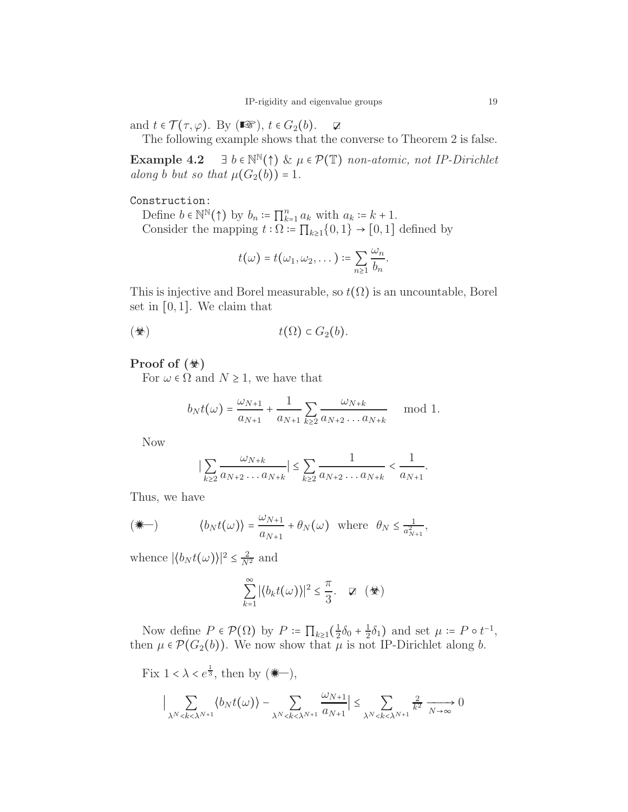and  $t \in \mathcal{T}(\tau, \varphi)$ . By  $(\mathbb{R} \mathcal{F}), t \in G_2(b)$ .  $\qquad \mathcal{F}$ 

The following example shows that the converse to Theorem 2 is false.

Example 4.2  $\exists b \in \mathbb{N}^{\mathbb{N}}(\uparrow) \& \mu \in \mathcal{P}(\mathbb{T})$  non-atomic, not IP-Dirichlet along b but so that  $\mu(G_2(b)) = 1$ .

## Construction:

Define  $b \in \mathbb{N}^{\mathbb{N}}(\uparrow)$  by  $b_n := \prod_{k=1}^n a_k$  with  $a_k := k+1$ . Consider the mapping  $t : \Omega = \prod_{k\geq 1} \{0,1\} \rightarrow [0,1]$  defined by

$$
t(\omega)=t(\omega_1,\omega_2,\dots):=\sum_{n\geq 1}\frac{\omega_n}{b_n}.
$$

This is injective and Borel measurable, so  $t(\Omega)$  is an uncountable, Borel set in  $[0,1]$ . We claim that

$$
t(\Omega) \subset G_2(b).
$$

## Proof of  $(\circledast)$

For  $\omega \in \Omega$  and  $N \geq 1$ , we have that

$$
b_N t(\omega) = \frac{\omega_{N+1}}{a_{N+1}} + \frac{1}{a_{N+1}} \sum_{k \geq 2} \frac{\omega_{N+k}}{a_{N+2} \dots a_{N+k}} \mod 1.
$$

Now

$$
\big|\sum_{k\geq 2}\frac{\omega_{N+k}}{a_{N+2}\ldots a_{N+k}}\big|\leq \sum_{k\geq 2}\frac{1}{a_{N+2}\ldots a_{N+k}}<\frac{1}{a_{N+1}}.
$$

Thus, we have

$$
(\mathbf{u}) \qquad \qquad \langle b_N t(\omega) \rangle = \frac{\omega_{N+1}}{a_{N+1}} + \theta_N(\omega) \quad \text{where} \quad \theta_N \le \frac{1}{a_{N+1}^2},
$$

whence  $|\langle b_N t(\omega) \rangle|^2 \leq \frac{2}{N^2}$  and

$$
\sum_{k=1}^{\infty} |\langle b_k t(\omega) \rangle|^2 \leq \frac{\pi}{3}. \quad \nabla \quad (\&\Phi)
$$

Now define  $P \in \mathcal{P}(\Omega)$  by  $P \coloneqq \prod_{k \geq 1} (\frac{1}{2})$  $rac{1}{2}\delta_0 + \frac{1}{2}$  $\frac{1}{2}\delta_1$ ) and set  $\mu \coloneqq P \circ t^{-1}$ , then  $\mu \in \mathcal{P}(G_2(b))$ . We now show that  $\mu$  is not IP-Dirichlet along b.

Fix  $1 < \lambda < e^{\frac{1}{3}}$ , then by  $(\mathbf{m})$ ,

$$
\Big|\sum_{\lambda^N-\sum_{\lambda^N
$$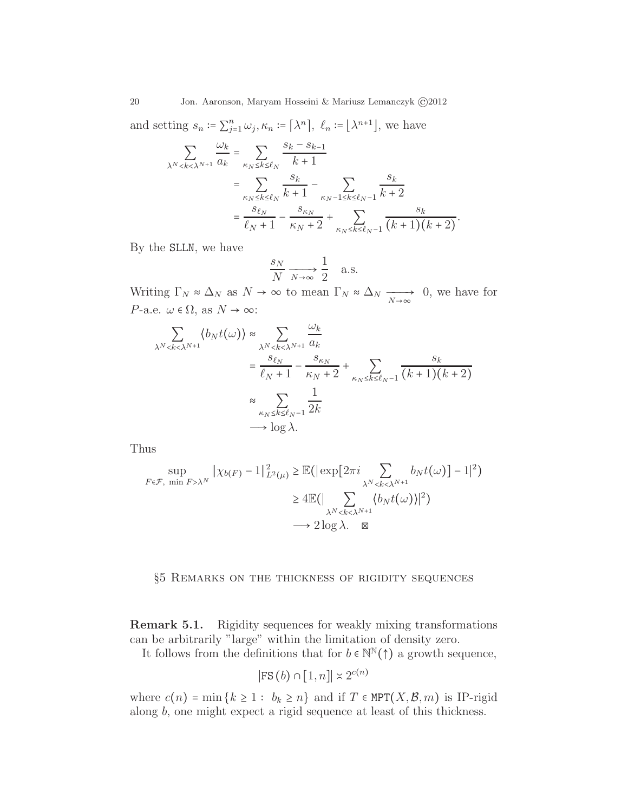and setting  $s_n \coloneqq \sum_{j=1}^n \omega_j$ ,  $\kappa_n \coloneqq [\lambda^n]$ ,  $\ell_n \coloneqq [\lambda^{n+1}]$ , we have

$$
\sum_{\lambda^N < k < \lambda^{N+1}} \frac{\omega_k}{a_k} = \sum_{\kappa_N \le k \le \ell_N} \frac{s_k - s_{k-1}}{k+1} \\
= \sum_{\kappa_N \le k \le \ell_N} \frac{s_k}{k+1} - \sum_{\kappa_N - 1 \le k \le \ell_N - 1} \frac{s_k}{k+2} \\
= \frac{s_{\ell_N}}{\ell_N + 1} - \frac{s_{\kappa_N}}{\kappa_N + 2} + \sum_{\kappa_N \le k \le \ell_N - 1} \frac{s_k}{(k+1)(k+2)}.
$$

By the SLLN, we have

$$
\frac{s_N}{N} \xrightarrow[N \to \infty]{} \frac{1}{2} \quad \text{a.s.}
$$

Writing  $\Gamma_N \approx \Delta_N$  as  $N \to \infty$  to mean  $\Gamma_N \approx \Delta_N \xrightarrow[N \to \infty]{} 0$ , we have for *P*-a.e.  $\omega \in \Omega$ , as  $N \to \infty$ :

$$
\sum_{\lambda^N < k < \lambda^{N+1}} \langle b_N t(\omega) \rangle \approx \sum_{\lambda^N < k < \lambda^{N+1}} \frac{\omega_k}{a_k}
$$
\n
$$
= \frac{s_{\ell_N}}{\ell_N + 1} - \frac{s_{\kappa_N}}{\kappa_N + 2} + \sum_{\kappa_N \le k \le \ell_{N-1}} \frac{s_k}{(k+1)(k+2)}
$$
\n
$$
\approx \sum_{\kappa_N \le k \le \ell_{N-1}} \frac{1}{2k}
$$
\n
$$
\longrightarrow \log \lambda.
$$

Thus

$$
\sup_{F \in \mathcal{F}, \min F > \lambda^N} \|\chi_{b(F)} - 1\|_{L^2(\mu)}^2 \ge \mathbb{E}\left(\left|\exp\left[2\pi i \sum_{\lambda^N < k < \lambda^{N+1}} b_N t(\omega)\right] - 1\right|^2\right) \\
\ge 4\mathbb{E}\left(\left|\sum_{\lambda^N < k < \lambda^{N+1}} \langle b_N t(\omega) \rangle\right|^2\right) \\
\longrightarrow 2\log \lambda. \quad \boxtimes
$$

## §5 Remarks on the thickness of rigidity sequences

Remark 5.1. Rigidity sequences for weakly mixing transformations can be arbitrarily "large" within the limitation of density zero.

It follows from the definitions that for  $b \in \mathbb{N}^{\mathbb{N}}(\uparrow)$  a growth sequence,

$$
|\text{FS}(b) \cap [1, n]| \asymp 2^{c(n)}
$$

where  $c(n) = \min\{k \geq 1 : b_k \geq n\}$  and if  $T \in MPT(X, \mathcal{B}, m)$  is IP-rigid along b, one might expect a rigid sequence at least of this thickness.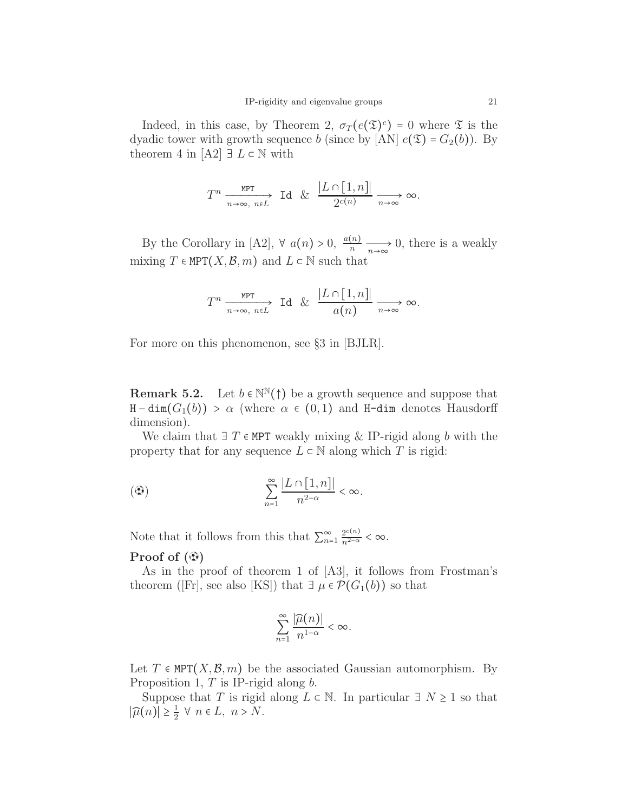Indeed, in this case, by Theorem 2,  $\sigma_T(e(\mathfrak{T})^c) = 0$  where  $\mathfrak{T}$  is the dyadic tower with growth sequence b (since by [AN]  $e(\mathfrak{T}) = G_2(b)$ ). By theorem 4 in  $[A2] \exists L \in \mathbb{N}$  with

$$
T^n\xrightarrow[n\to\infty,n\in L]{\text{MPT}}\text{Id }\&\frac{|L\cap[1,n]|}{2^{c(n)}}\xrightarrow[n\to\infty]{\infty}.
$$

By the Corollary in [A2],  $\forall a(n) > 0, \frac{a(n)}{n} \longrightarrow_{n \to \infty} 0$ , there is a weakly mixing  $T \in \text{MPT}(X,\mathcal{B},m)$  and  $L \subset \mathbb{N}$  such that

$$
T^n \xrightarrow[n \to \infty, n \in L]{\text{MPT}} \text{Id} \& \frac{|L \cap [1, n]|}{a(n)} \xrightarrow[n \to \infty]{n \to \infty} \infty.
$$

For more on this phenomenon, see §3 in [BJLR].

**Remark 5.2.** Let  $b \in \mathbb{N}^{\mathbb{N}}(\uparrow)$  be a growth sequence and suppose that  $H - dim(G_1(b)) > \alpha$  (where  $\alpha \in (0,1)$  and H-dim denotes Hausdorff dimension).

We claim that  $\exists T \in MPT$  weakly mixing & IP-rigid along b with the property that for any sequence  $L \subset \mathbb{N}$  along which T is rigid:

$$
\text{(}\mathfrak{D}\text{)} \qquad \qquad \sum_{n=1}^{\infty} \frac{|L \cap [1, n]|}{n^{2-\alpha}} < \infty.
$$

Note that it follows from this that  $\sum_{n=1}^{\infty} \frac{2^{c(n)}}{n^{2-\alpha}} < \infty$ . Proof of  $(\mathcal{D})$ 

# As in the proof of theorem 1 of [A3], it follows from Frostman's theorem ([Fr], see also [KS]) that  $\exists \mu \in \mathcal{P}(G_1(b))$  so that

$$
\sum_{n=1}^\infty \frac{|\widehat{\mu}(n)|}{n^{1-\alpha}} < \infty.
$$

Let  $T \in \text{MPT}(X,\mathcal{B},m)$  be the associated Gaussian automorphism. By Proposition 1,  $T$  is IP-rigid along  $b$ .

Suppose that T is rigid along  $L \subset \mathbb{N}$ . In particular  $\exists N \geq 1$  so that  $|\widehat{\mu}(n)| \geq \frac{1}{2}$  $\frac{1}{2}$   $\forall$   $n \in L$ ,  $n > N$ .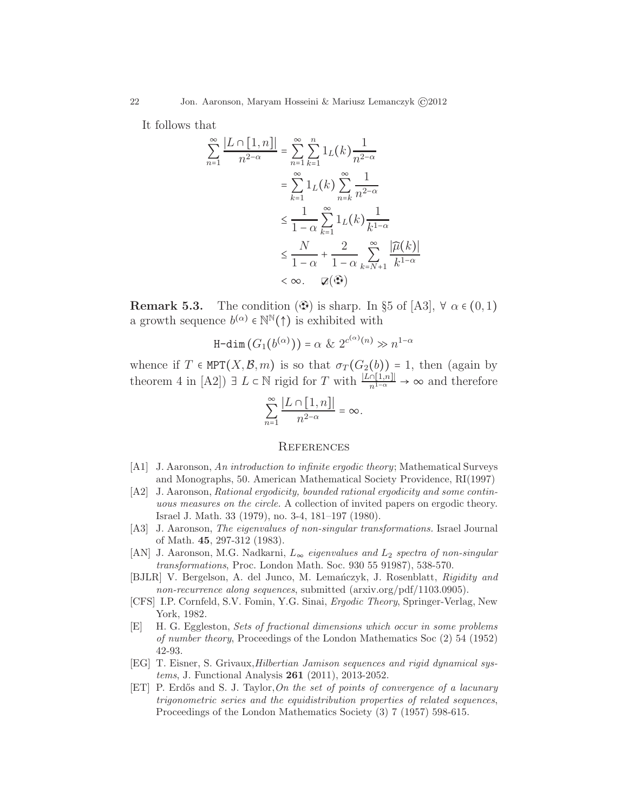It follows that

$$
\sum_{n=1}^{\infty} \frac{|L \cap [1, n]|}{n^{2-\alpha}} = \sum_{n=1}^{\infty} \sum_{k=1}^{n} 1_L(k) \frac{1}{n^{2-\alpha}}
$$

$$
= \sum_{k=1}^{\infty} 1_L(k) \sum_{n=k}^{\infty} \frac{1}{n^{2-\alpha}}
$$

$$
\leq \frac{1}{1-\alpha} \sum_{k=1}^{\infty} 1_L(k) \frac{1}{k^{1-\alpha}}
$$

$$
\leq \frac{N}{1-\alpha} + \frac{2}{1-\alpha} \sum_{k=N+1}^{\infty} \frac{|\widehat{\mu}(k)|}{k^{1-\alpha}}
$$

$$
< \infty. \quad \mathbb{Z}(\bigoplus)
$$

**Remark 5.3.** The condition  $(\mathcal{D})$  is sharp. In §5 of [A3],  $\forall \alpha \in (0,1)$ a growth sequence  $b^{(\alpha)} \in \mathbb{N}^{\mathbb{N}}(\uparrow)$  is exhibited with

$$
\text{H-dim}(G_1(b^{(\alpha)})) = \alpha \& 2^{c^{(\alpha)}(n)} \gg n^{1-\alpha}
$$

whence if  $T \in \text{MPT}(X,\mathcal{B},m)$  is so that  $\sigma_T(G_2(b)) = 1$ , then (again by theorem 4 in [A2])  $\exists L \subset \mathbb{N}$  rigid for T with  $\frac{|L \cap [1,n]|}{n^{1-\alpha}} \to \infty$  and therefore

$$
\sum_{n=1}^{\infty} \frac{|L \cap [1, n]|}{n^{2-\alpha}} = \infty.
$$

#### **REFERENCES**

- [A1] J. Aaronson, An introduction to infinite ergodic theory; Mathematical Surveys and Monographs, 50. American Mathematical Society Providence, RI(1997)
- [A2] J. Aaronson, Rational ergodicity, bounded rational ergodicity and some continuous measures on the circle. A collection of invited papers on ergodic theory. Israel J. Math. 33 (1979), no. 3-4, 181–197 (1980).
- [A3] J. Aaronson, The eigenvalues of non-singular transformations. Israel Journal of Math. 45, 297-312 (1983).
- [AN] J. Aaronson, M.G. Nadkarni,  $L_{\infty}$  eigenvalues and  $L_2$  spectra of non-singular transformations, Proc. London Math. Soc. 930 55 91987), 538-570.
- [BJLR] V. Bergelson, A. del Junco, M. Lemanczyk, J. Rosenblatt, Rigidity and non-recurrence along sequences, submitted (arxiv.org/pdf/1103.0905).
- [CFS] I.P. Cornfeld, S.V. Fomin, Y.G. Sinai, Ergodic Theory, Springer-Verlag, New York, 1982.
- [E] H. G. Eggleston, Sets of fractional dimensions which occur in some problems of number theory, Proceedings of the London Mathematics Soc (2) 54 (1952) 42-93.
- [EG] T. Eisner, S. Grivaux,Hilbertian Jamison sequences and rigid dynamical systems, J. Functional Analysis 261 (2011), 2013-2052.
- [ET] P. Erdős and S. J. Taylor, On the set of points of convergence of a lacunary trigonometric series and the equidistribution properties of related sequences, Proceedings of the London Mathematics Society (3) 7 (1957) 598-615.